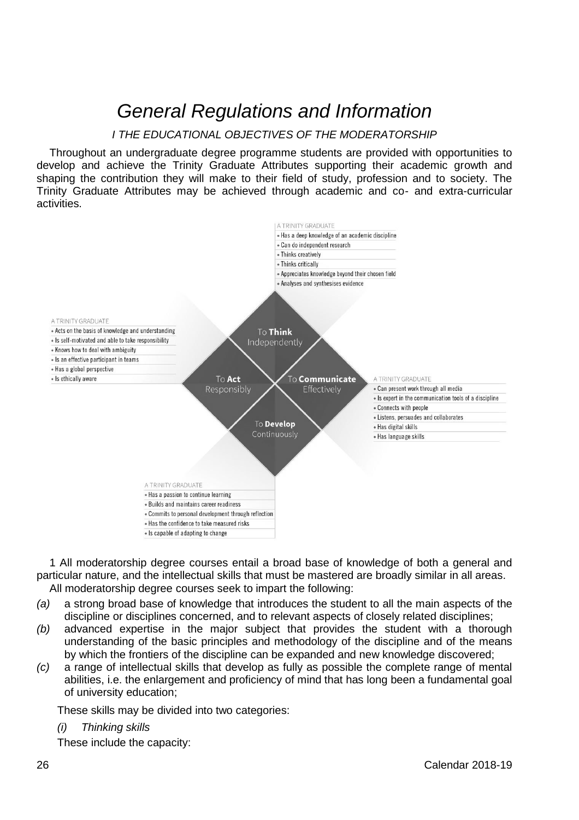# *General Regulations and Information*

# *I THE EDUCATIONAL OBJECTIVES OF THE MODERATORSHIP*

Throughout an undergraduate degree programme students are provided with opportunities to develop and achieve the Trinity Graduate Attributes supporting their academic growth and shaping the contribution they will make to their field of study, profession and to society. The Trinity Graduate Attributes may be achieved through academic and co- and extra-curricular activities.



1 All moderatorship degree courses entail a broad base of knowledge of both a general and particular nature, and the intellectual skills that must be mastered are broadly similar in all areas. All moderatorship degree courses seek to impart the following:

- *(a)* a strong broad base of knowledge that introduces the student to all the main aspects of the discipline or disciplines concerned, and to relevant aspects of closely related disciplines;
- *(b)* advanced expertise in the major subject that provides the student with a thorough understanding of the basic principles and methodology of the discipline and of the means by which the frontiers of the discipline can be expanded and new knowledge discovered;
- *(c)* a range of intellectual skills that develop as fully as possible the complete range of mental abilities, i.e. the enlargement and proficiency of mind that has long been a fundamental goal of university education;

These skills may be divided into two categories:

#### *(i) Thinking skills*

These include the capacity: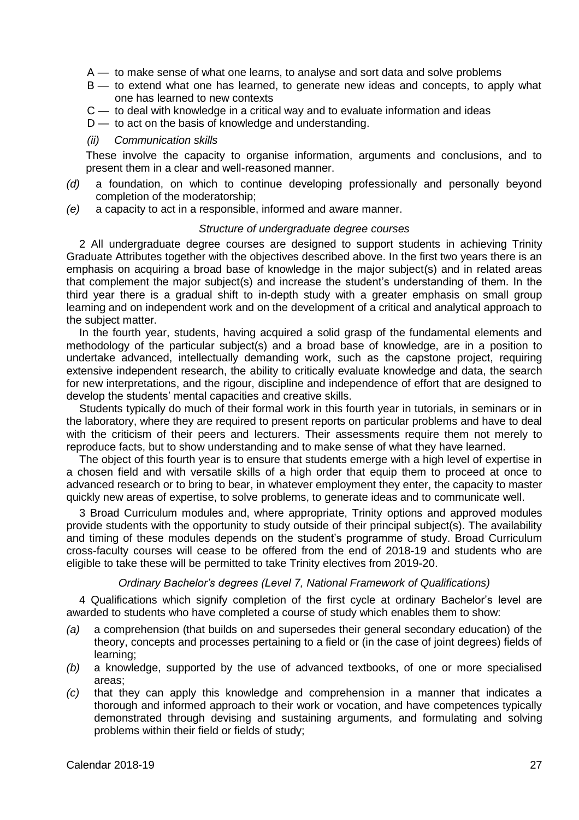- A to make sense of what one learns, to analyse and sort data and solve problems
- B to extend what one has learned, to generate new ideas and concepts, to apply what one has learned to new contexts
- C to deal with knowledge in a critical way and to evaluate information and ideas
- $D$  to act on the basis of knowledge and understanding.

#### *(ii) Communication skills*

These involve the capacity to organise information, arguments and conclusions, and to present them in a clear and well-reasoned manner.

- *(d)* a foundation, on which to continue developing professionally and personally beyond completion of the moderatorship;
- *(e)* a capacity to act in a responsible, informed and aware manner.

## *Structure of undergraduate degree courses*

 2 All undergraduate degree courses are designed to support students in achieving Trinity Graduate Attributes together with the objectives described above. In the first two years there is an emphasis on acquiring a broad base of knowledge in the major subject(s) and in related areas that complement the major subject(s) and increase the student's understanding of them. In the third year there is a gradual shift to in-depth study with a greater emphasis on small group learning and on independent work and on the development of a critical and analytical approach to the subject matter.

 In the fourth year, students, having acquired a solid grasp of the fundamental elements and methodology of the particular subject(s) and a broad base of knowledge, are in a position to undertake advanced, intellectually demanding work, such as the capstone project, requiring extensive independent research, the ability to critically evaluate knowledge and data, the search for new interpretations, and the rigour, discipline and independence of effort that are designed to develop the students' mental capacities and creative skills.

 Students typically do much of their formal work in this fourth year in tutorials, in seminars or in the laboratory, where they are required to present reports on particular problems and have to deal with the criticism of their peers and lecturers. Their assessments require them not merely to reproduce facts, but to show understanding and to make sense of what they have learned.

 The object of this fourth year is to ensure that students emerge with a high level of expertise in a chosen field and with versatile skills of a high order that equip them to proceed at once to advanced research or to bring to bear, in whatever employment they enter, the capacity to master quickly new areas of expertise, to solve problems, to generate ideas and to communicate well.

3 Broad Curriculum modules and, where appropriate, Trinity options and approved modules provide students with the opportunity to study outside of their principal subject(s). The availability and timing of these modules depends on the student's programme of study. Broad Curriculum cross-faculty courses will cease to be offered from the end of 2018-19 and students who are eligible to take these will be permitted to take Trinity electives from 2019-20.

### *Ordinary Bachelor's degrees (Level 7, National Framework of Qualifications)*

 4 Qualifications which signify completion of the first cycle at ordinary Bachelor's level are awarded to students who have completed a course of study which enables them to show:

- *(a)* a comprehension (that builds on and supersedes their general secondary education) of the theory, concepts and processes pertaining to a field or (in the case of joint degrees) fields of learning;
- *(b)* a knowledge, supported by the use of advanced textbooks, of one or more specialised areas;
- *(c)* that they can apply this knowledge and comprehension in a manner that indicates a thorough and informed approach to their work or vocation, and have competences typically demonstrated through devising and sustaining arguments, and formulating and solving problems within their field or fields of study;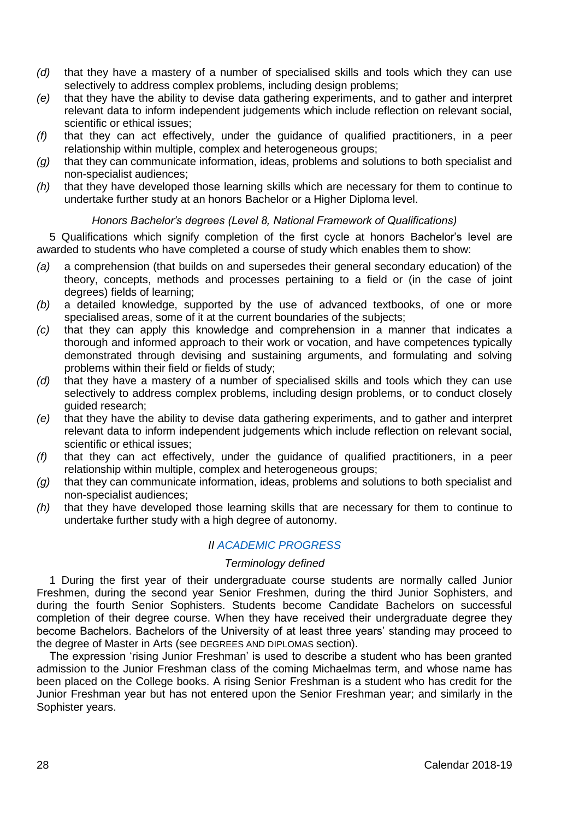- *(d)* that they have a mastery of a number of specialised skills and tools which they can use selectively to address complex problems, including design problems;
- *(e)* that they have the ability to devise data gathering experiments, and to gather and interpret relevant data to inform independent judgements which include reflection on relevant social, scientific or ethical issues;
- *(f)* that they can act effectively, under the guidance of qualified practitioners, in a peer relationship within multiple, complex and heterogeneous groups;
- *(g)* that they can communicate information, ideas, problems and solutions to both specialist and non-specialist audiences;
- *(h)* that they have developed those learning skills which are necessary for them to continue to undertake further study at an honors Bachelor or a Higher Diploma level.

# *Honors Bachelor's degrees (Level 8, National Framework of Qualifications)*

5 Qualifications which signify completion of the first cycle at honors Bachelor's level are awarded to students who have completed a course of study which enables them to show:

- *(a)* a comprehension (that builds on and supersedes their general secondary education) of the theory, concepts, methods and processes pertaining to a field or (in the case of joint degrees) fields of learning;
- *(b)* a detailed knowledge, supported by the use of advanced textbooks, of one or more specialised areas, some of it at the current boundaries of the subjects;
- *(c)* that they can apply this knowledge and comprehension in a manner that indicates a thorough and informed approach to their work or vocation, and have competences typically demonstrated through devising and sustaining arguments, and formulating and solving problems within their field or fields of study;
- *(d)* that they have a mastery of a number of specialised skills and tools which they can use selectively to address complex problems, including design problems, or to conduct closely guided research;
- *(e)* that they have the ability to devise data gathering experiments, and to gather and interpret relevant data to inform independent judgements which include reflection on relevant social, scientific or ethical issues;
- *(f)* that they can act effectively, under the guidance of qualified practitioners, in a peer relationship within multiple, complex and heterogeneous groups;
- *(g)* that they can communicate information, ideas, problems and solutions to both specialist and non-specialist audiences;
- *(h)* that they have developed those learning skills that are necessary for them to continue to undertake further study with a high degree of autonomy.

# *II [ACADEMIC PROGRESS](https://www.tcd.ie/undergraduate-studies/academic-progress/)*

## *Terminology defined*

1 During the first year of their undergraduate course students are normally called Junior Freshmen, during the second year Senior Freshmen, during the third Junior Sophisters, and during the fourth Senior Sophisters. Students become Candidate Bachelors on successful completion of their degree course. When they have received their undergraduate degree they become Bachelors. Bachelors of the University of at least three years' standing may proceed to the degree of Master in Arts (see DEGREES AND DIPLOMAS section).

The expression 'rising Junior Freshman' is used to describe a student who has been granted admission to the Junior Freshman class of the coming Michaelmas term, and whose name has been placed on the College books. A rising Senior Freshman is a student who has credit for the Junior Freshman year but has not entered upon the Senior Freshman year; and similarly in the Sophister years.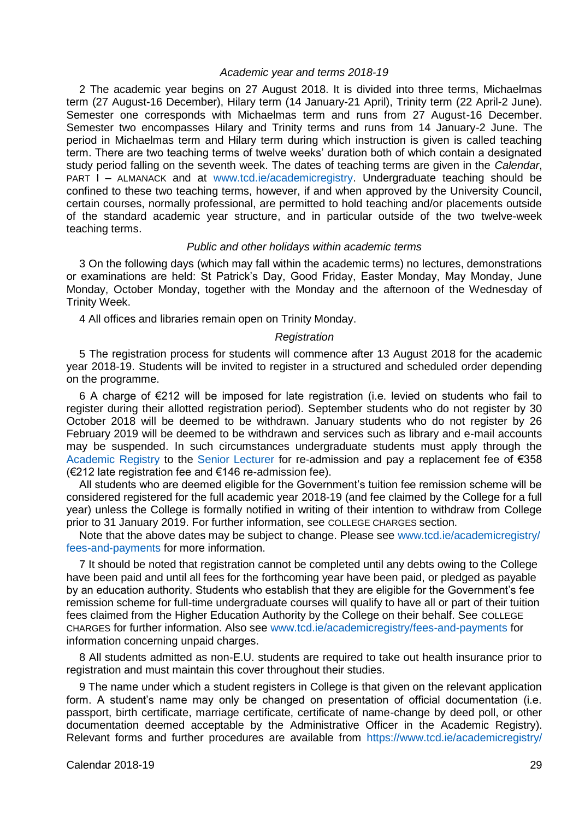#### *Academic year and terms 2018-19*

2 The academic year begins on 27 August 2018. It is divided into three terms, Michaelmas term (27 August-16 December), Hilary term (14 January-21 April), Trinity term (22 April-2 June). Semester one corresponds with Michaelmas term and runs from 27 August-16 December. Semester two encompasses Hilary and Trinity terms and runs from 14 January-2 June. The period in Michaelmas term and Hilary term during which instruction is given is called teaching term. There are two teaching terms of twelve weeks' duration both of which contain a designated study period falling on the seventh week. The dates of teaching terms are given in the *Calendar*, PART I – ALMANACK and at [www.tcd.ie/academicregistry.](https://www.tcd.ie/academicregistry/) Undergraduate teaching should be confined to these two teaching terms, however, if and when approved by the University Council, certain courses, normally professional, are permitted to hold teaching and/or placements outside of the standard academic year structure, and in particular outside of the two twelve-week teaching terms.

#### *Public and other holidays within academic terms*

3 On the following days (which may fall within the academic terms) no lectures, demonstrations or examinations are held: St Patrick's Day, Good Friday, Easter Monday, May Monday, June Monday, October Monday, together with the Monday and the afternoon of the Wednesday of Trinity Week.

4 All offices and libraries remain open on Trinity Monday.

#### *Registration*

5 The registration process for students will commence after 13 August 2018 for the academic year 2018-19. Students will be invited to register in a structured and scheduled order depending on the programme.

6 A charge of €212 will be imposed for late registration (i.e. levied on students who fail to register during their allotted registration period). September students who do not register by 30 October 2018 will be deemed to be withdrawn. January students who do not register by 26 February 2019 will be deemed to be withdrawn and services such as library and e-mail accounts may be suspended. In such circumstances undergraduate students must apply through the [Academic Registry](https://www.tcd.ie/academicregistry/index.php) to the [Senior Lecturer](https://www.tcd.ie/undergraduate-studies/) for re-admission and pay a replacement fee of €358 (€212 late registration fee and €146 re-admission fee).

All students who are deemed eligible for the Government's tuition fee remission scheme will be considered registered for the full academic year 2018-19 (and fee claimed by the College for a full year) unless the College is formally notified in writing of their intention to withdraw from College prior to 31 January 2019. For further information, see COLLEGE CHARGES section.

Note that the above dates may be subject to change. Please see [www.tcd.ie/academicregistry/](http://www.tcd.ie/academicregistry/%20fees-and-payments) [fees-and-payments](http://www.tcd.ie/academicregistry/%20fees-and-payments) for more information.

7 It should be noted that registration cannot be completed until any debts owing to the College have been paid and until all fees for the forthcoming year have been paid, or pledged as payable by an education authority. Students who establish that they are eligible for the Government's fee remission scheme for full-time undergraduate courses will qualify to have all or part of their tuition fees claimed from the Higher Education Authority by the College on their behalf. See COLLEGE CHARGES for further information. Also se[e www.tcd.ie/academicregistry/fees-and-payments](http://www.tcd.ie/academicregistry/fees-and-payments) for information concerning unpaid charges.

8 All students admitted as non-E.U. students are required to take out health insurance prior to registration and must maintain this cover throughout their studies.

9 The name under which a student registers in College is that given on the relevant application form. A student's name may only be changed on presentation of official documentation (i.e. passport, birth certificate, marriage certificate, certificate of name-change by deed poll, or other documentation deemed acceptable by the Administrative Officer in the Academic Registry). Relevant forms and further procedures are available from [https://www.tcd.ie/academicregistry/](https://www.tcd.ie/academicregistry/service-desk/application-forms/)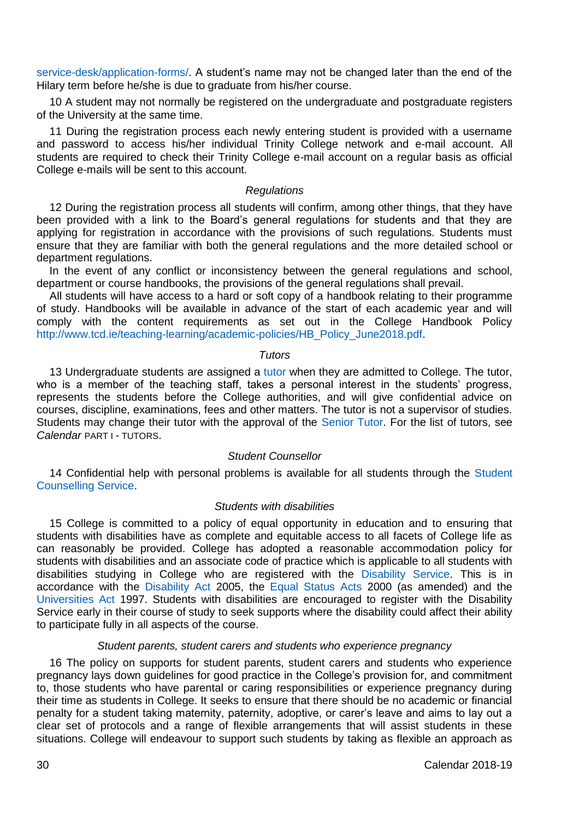[service-desk/application-forms/.](https://www.tcd.ie/academicregistry/service-desk/application-forms/) A student's name may not be changed later than the end of the Hilary term before he/she is due to graduate from his/her course.

10 A student may not normally be registered on the undergraduate and postgraduate registers of the University at the same time.

11 During the registration process each newly entering student is provided with a username and password to access his/her individual Trinity College network and e-mail account. All students are required to check their Trinity College e-mail account on a regular basis as official College e-mails will be sent to this account.

## *Regulations*

12 During the registration process all students will confirm, among other things, that they have been provided with a link to the Board's general regulations for students and that they are applying for registration in accordance with the provisions of such regulations. Students must ensure that they are familiar with both the general regulations and the more detailed school or department regulations.

In the event of any conflict or inconsistency between the general regulations and school, department or course handbooks, the provisions of the general regulations shall prevail.

All students will have access to a hard or soft copy of a handbook relating to their programme of study. Handbooks will be available in advance of the start of each academic year and will comply with the content requirements as set out in the College Handbook Policy [http://www.tcd.ie/teaching-learning/academic-policies/HB\\_Policy\\_June2018.pdf.](http://www.tcd.ie/teaching-learning/academic-policies/HB_Policy_June2018.pdf)

#### *Tutors*

13 Undergraduate students are assigned [a tutor](https://www.tcd.ie/Senior_Tutor/your-tutor/) when they are admitted to College. The tutor, who is a member of the teaching staff, takes a personal interest in the students' progress, represents the students before the College authorities, and will give confidential advice on courses, discipline, examinations, fees and other matters. The tutor is not a supervisor of studies. Students may change their tutor with the approval of the [Senior Tutor.](https://www.tcd.ie/Senior_Tutor/) For the list of tutors, see *Calendar* PART I - TUTORS.

## *Student Counsellor*

14 Confidential help with personal problems is available for all students through the [Student](http://www.tcd.ie/Student_Counselling/)  [Counselling Service.](http://www.tcd.ie/Student_Counselling/)

#### *Students with disabilities*

15 College is committed to a policy of equal opportunity in education and to ensuring that students with disabilities have as complete and equitable access to all facets of College life as can reasonably be provided. College has adopted a reasonable accommodation policy for students with disabilities and an associate code of practice which is applicable to all students with disabilities studying in College who are registered with the [Disability Service.](http://www.tcd.ie/disability/) This is in accordance with the [Disability Act](http://www.irishstatutebook.ie/eli/2005/act/14/enacted/en/html) 2005, the [Equal Status Acts](http://www.irishstatutebook.ie/eli/2000/act/8/enacted/en/html) 2000 (as amended) and the [Universities](http://www.irishstatutebook.ie/eli/1997/act/24/enacted/en/html) Act 1997. Students with disabilities are encouraged to register with the Disability Service early in their course of study to seek supports where the disability could affect their ability to participate fully in all aspects of the course.

## *Student parents, student carers and students who experience pregnancy*

16 The policy on supports for student parents, student carers and students who experience pregnancy lays down guidelines for good practice in the College's provision for, and commitment to, those students who have parental or caring responsibilities or experience pregnancy during their time as students in College. It seeks to ensure that there should be no academic or financial penalty for a student taking maternity, paternity, adoptive, or carer's leave and aims to lay out a clear set of protocols and a range of flexible arrangements that will assist students in these situations. College will endeavour to support such students by taking as flexible an approach as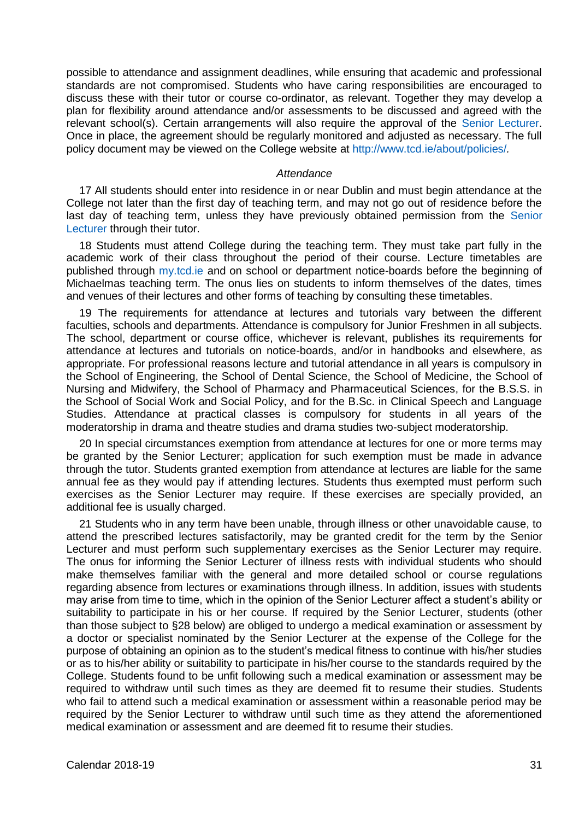possible to attendance and assignment deadlines, while ensuring that academic and professional standards are not compromised. Students who have caring responsibilities are encouraged to discuss these with their tutor or course co-ordinator, as relevant. Together they may develop a plan for flexibility around attendance and/or assessments to be discussed and agreed with the relevant school(s). Certain arrangements will also require the approval of the [Senior Lecturer.](https://www.tcd.ie/undergraduate-studies/)  Once in place, the agreement should be regularly monitored and adjusted as necessary. The full policy document may be viewed on the College website at<http://www.tcd.ie/about/policies/>*.*

#### *Attendance*

17 All students should enter into residence in or near Dublin and must begin attendance at the College not later than the first day of teaching term, and may not go out of residence before the last day of teaching term, unless they have previously obtained permission from the [Senior](https://www.tcd.ie/undergraduate-studies/)  [Lecturer](https://www.tcd.ie/undergraduate-studies/) through their tutor.

18 Students must attend College during the teaching term. They must take part fully in the academic work of their class throughout the period of their course. Lecture timetables are published through [my.tcd.ie](https://my.tcd.ie/urd/sits.urd/run/siw_lgn) and on school or department notice-boards before the beginning of Michaelmas teaching term. The onus lies on students to inform themselves of the dates, times and venues of their lectures and other forms of teaching by consulting these timetables.

19 The requirements for attendance at lectures and tutorials vary between the different faculties, schools and departments. Attendance is compulsory for Junior Freshmen in all subjects. The school, department or course office, whichever is relevant, publishes its requirements for attendance at lectures and tutorials on notice-boards, and/or in handbooks and elsewhere, as appropriate. For professional reasons lecture and tutorial attendance in all years is compulsory in the School of Engineering, the School of Dental Science, the School of Medicine, the School of Nursing and Midwifery, the School of Pharmacy and Pharmaceutical Sciences, for the B.S.S. in the School of Social Work and Social Policy, and for the B.Sc. in Clinical Speech and Language Studies. Attendance at practical classes is compulsory for students in all years of the moderatorship in drama and theatre studies and drama studies two-subject moderatorship.

20 In special circumstances exemption from attendance at lectures for one or more terms may be granted by the Senior Lecturer; application for such exemption must be made in advance through the tutor. Students granted exemption from attendance at lectures are liable for the same annual fee as they would pay if attending lectures. Students thus exempted must perform such exercises as the Senior Lecturer may require. If these exercises are specially provided, an additional fee is usually charged.

21 Students who in any term have been unable, through illness or other unavoidable cause, to attend the prescribed lectures satisfactorily, may be granted credit for the term by the Senior Lecturer and must perform such supplementary exercises as the Senior Lecturer may require. The onus for informing the Senior Lecturer of illness rests with individual students who should make themselves familiar with the general and more detailed school or course regulations regarding absence from lectures or examinations through illness. In addition, issues with students may arise from time to time, which in the opinion of the Senior Lecturer affect a student's ability or suitability to participate in his or her course. If required by the Senior Lecturer, students (other than those subject to §28 below) are obliged to undergo a medical examination or assessment by a doctor or specialist nominated by the Senior Lecturer at the expense of the College for the purpose of obtaining an opinion as to the student's medical fitness to continue with his/her studies or as to his/her ability or suitability to participate in his/her course to the standards required by the College. Students found to be unfit following such a medical examination or assessment may be required to withdraw until such times as they are deemed fit to resume their studies. Students who fail to attend such a medical examination or assessment within a reasonable period may be required by the Senior Lecturer to withdraw until such time as they attend the aforementioned medical examination or assessment and are deemed fit to resume their studies.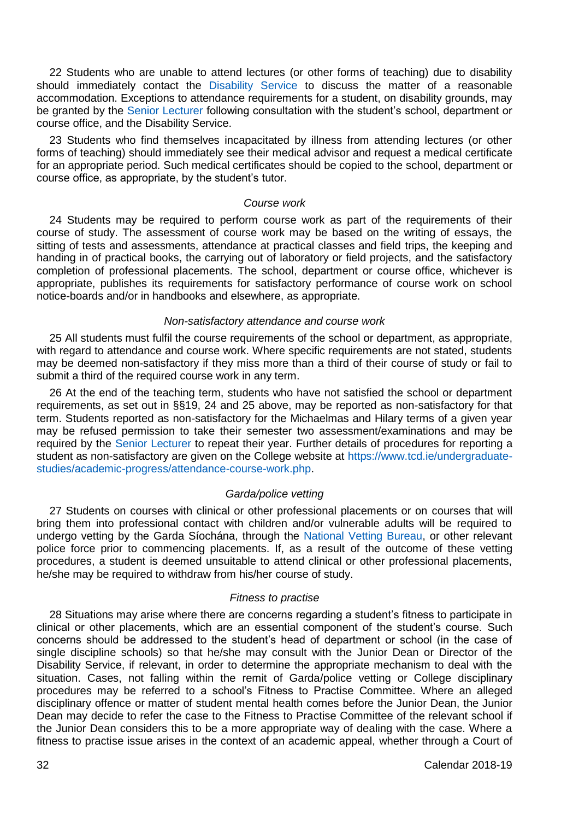22 Students who are unable to attend lectures (or other forms of teaching) due to disability should immediately contact the [Disability Service](http://www.tcd.ie/disability/) to discuss the matter of a reasonable accommodation. Exceptions to attendance requirements for a student, on disability grounds, may be granted by the [Senior Lecturer](https://www.tcd.ie/undergraduate-studies/) following consultation with the student's school, department or course office, and the Disability Service.

23 Students who find themselves incapacitated by illness from attending lectures (or other forms of teaching) should immediately see their medical advisor and request a medical certificate for an appropriate period. Such medical certificates should be copied to the school, department or course office, as appropriate, by the student's tutor.

## *Course work*

24 Students may be required to perform course work as part of the requirements of their course of study. The assessment of course work may be based on the writing of essays, the sitting of tests and assessments, attendance at practical classes and field trips, the keeping and handing in of practical books, the carrying out of laboratory or field projects, and the satisfactory completion of professional placements. The school, department or course office, whichever is appropriate, publishes its requirements for satisfactory performance of course work on school notice-boards and/or in handbooks and elsewhere, as appropriate.

#### *Non-satisfactory attendance and course work*

25 All students must fulfil the course requirements of the school or department, as appropriate, with regard to attendance and course work. Where specific requirements are not stated, students may be deemed non-satisfactory if they miss more than a third of their course of study or fail to submit a third of the required course work in any term.

26 At the end of the teaching term, students who have not satisfied the school or department requirements, as set out in §§19, 24 and 25 above, may be reported as non-satisfactory for that term. Students reported as non-satisfactory for the Michaelmas and Hilary terms of a given year may be refused permission to take their semester two assessment/examinations and may be required by the [Senior Lecturer](https://www.tcd.ie/undergraduate-studies/) to repeat their year. Further details of procedures for reporting a student as non-satisfactory are given on the College website a[t https://www.tcd.ie/undergraduate](https://www.tcd.ie/undergraduate-studies/academic-progress/attendance-course-work.php)[studies/academic-progress/attendance-course-work.php.](https://www.tcd.ie/undergraduate-studies/academic-progress/attendance-course-work.php)

# *Garda/police vetting*

27 Students on courses with clinical or other professional placements or on courses that will bring them into professional contact with children and/or vulnerable adults will be required to undergo vetting by the Garda Síochána, through the [National Vetting Bureau,](https://vetting.garda.ie/) or other relevant police force prior to commencing placements. If, as a result of the outcome of these vetting procedures, a student is deemed unsuitable to attend clinical or other professional placements, he/she may be required to withdraw from his/her course of study.

#### *Fitness to practise*

28 Situations may arise where there are concerns regarding a student's fitness to participate in clinical or other placements, which are an essential component of the student's course. Such concerns should be addressed to the student's head of department or school (in the case of single discipline schools) so that he/she may consult with the Junior Dean or Director of the Disability Service, if relevant, in order to determine the appropriate mechanism to deal with the situation. Cases, not falling within the remit of Garda/police vetting or College disciplinary procedures may be referred to a school's Fitness to Practise Committee. Where an alleged disciplinary offence or matter of student mental health comes before the Junior Dean, the Junior Dean may decide to refer the case to the Fitness to Practise Committee of the relevant school if the Junior Dean considers this to be a more appropriate way of dealing with the case. Where a fitness to practise issue arises in the context of an academic appeal, whether through a Court of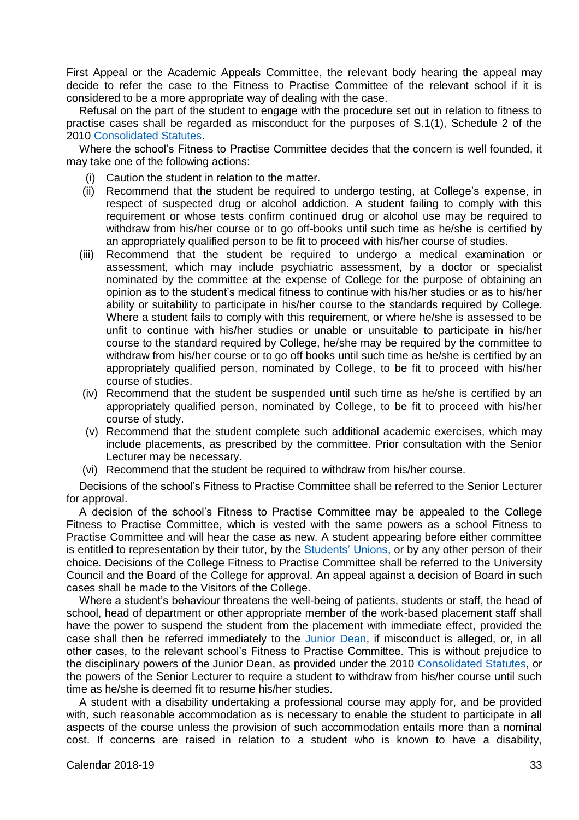First Appeal or the Academic Appeals Committee, the relevant body hearing the appeal may decide to refer the case to the Fitness to Practise Committee of the relevant school if it is considered to be a more appropriate way of dealing with the case.

Refusal on the part of the student to engage with the procedure set out in relation to fitness to practise cases shall be regarded as misconduct for the purposes of S.1(1), Schedule 2 of the 201[0 Consolidated Statutes.](https://www.tcd.ie/registrar/statutes/)

Where the school's Fitness to Practise Committee decides that the concern is well founded, it may take one of the following actions:

- (i) Caution the student in relation to the matter.
- (ii) Recommend that the student be required to undergo testing, at College's expense, in respect of suspected drug or alcohol addiction. A student failing to comply with this requirement or whose tests confirm continued drug or alcohol use may be required to withdraw from his/her course or to go off-books until such time as he/she is certified by an appropriately qualified person to be fit to proceed with his/her course of studies.
- (iii) Recommend that the student be required to undergo a medical examination or assessment, which may include psychiatric assessment, by a doctor or specialist nominated by the committee at the expense of College for the purpose of obtaining an opinion as to the student's medical fitness to continue with his/her studies or as to his/her ability or suitability to participate in his/her course to the standards required by College. Where a student fails to comply with this requirement, or where he/she is assessed to be unfit to continue with his/her studies or unable or unsuitable to participate in his/her course to the standard required by College, he/she may be required by the committee to withdraw from his/her course or to go off books until such time as he/she is certified by an appropriately qualified person, nominated by College, to be fit to proceed with his/her course of studies.
- (iv) Recommend that the student be suspended until such time as he/she is certified by an appropriately qualified person, nominated by College, to be fit to proceed with his/her course of study.
- (v) Recommend that the student complete such additional academic exercises, which may include placements, as prescribed by the committee. Prior consultation with the Senior Lecturer may be necessary.
- (vi) Recommend that the student be required to withdraw from his/her course.

Decisions of the school's Fitness to Practise Committee shall be referred to the Senior Lecturer for approval.

A decision of the school's Fitness to Practise Committee may be appealed to the College Fitness to Practise Committee, which is vested with the same powers as a school Fitness to Practise Committee and will hear the case as new. A student appearing before either committee is entitled to representation by their tutor, by the [Students' Unions,](https://www.tcdsu.org/) or by any other person of their choice. Decisions of the College Fitness to Practise Committee shall be referred to the University Council and the Board of the College for approval. An appeal against a decision of Board in such cases shall be made to the Visitors of the College.

Where a student's behaviour threatens the well-being of patients, students or staff, the head of school, head of department or other appropriate member of the work-based placement staff shall have the power to suspend the student from the placement with immediate effect, provided the case shall then be referred immediately to the [Junior Dean,](https://www.tcd.ie/Junior_Dean/) if misconduct is alleged, or, in all other cases, to the relevant school's Fitness to Practise Committee. This is without prejudice to the disciplinary powers of the Junior Dean, as provided under the 2010 [Consolidated Statutes,](https://www.tcd.ie/registrar/statutes/) or the powers of the Senior Lecturer to require a student to withdraw from his/her course until such time as he/she is deemed fit to resume his/her studies.

A student with a disability undertaking a professional course may apply for, and be provided with, such reasonable accommodation as is necessary to enable the student to participate in all aspects of the course unless the provision of such accommodation entails more than a nominal cost. If concerns are raised in relation to a student who is known to have a disability,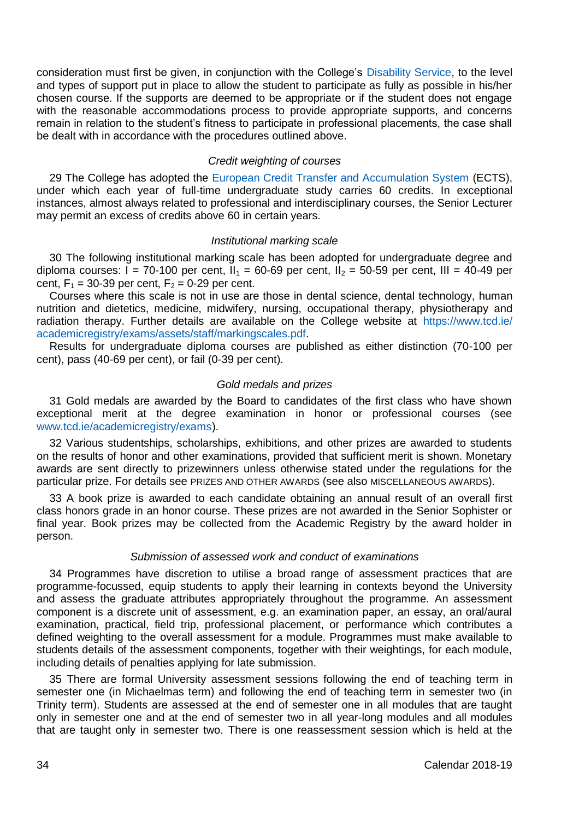consideration must first be given, in conjunction with the College's [Disability Service,](http://www.tcd.ie/disability/) to the level and types of support put in place to allow the student to participate as fully as possible in his/her chosen course. If the supports are deemed to be appropriate or if the student does not engage with the reasonable accommodations process to provide appropriate supports, and concerns remain in relation to the student's fitness to participate in professional placements, the case shall be dealt with in accordance with the procedures outlined above.

## *Credit weighting of courses*

29 The College has adopted the [European Credit Transfer and Accumulation System](https://ec.europa.eu/education/resources/european-credit-transfer-accumulation-system_en) (ECTS). under which each year of full-time undergraduate study carries 60 credits. In exceptional instances, almost always related to professional and interdisciplinary courses, the Senior Lecturer may permit an excess of credits above 60 in certain years.

#### *Institutional marking scale*

30 The following institutional marking scale has been adopted for undergraduate degree and diploma courses:  $I = 70-100$  per cent,  $I_1 = 60-69$  per cent,  $I_2 = 50-59$  per cent, III = 40-49 per cent,  $F_1 = 30 - 39$  per cent,  $F_2 = 0 - 29$  per cent.

Courses where this scale is not in use are those in dental science, dental technology, human nutrition and dietetics, medicine, midwifery, nursing, occupational therapy, physiotherapy and radiation therapy. Further details are available on the College website at [https://www.tcd.ie/](https://www.tcd.ie/%20academicregistry/exams/assets/staff/markingscales.pdf)  [academicregistry/exams/assets/staff/markingscales.pdf.](https://www.tcd.ie/%20academicregistry/exams/assets/staff/markingscales.pdf)

Results for undergraduate diploma courses are published as either distinction (70-100 per cent), pass (40-69 per cent), or fail (0-39 per cent).

#### *Gold medals and prizes*

31 Gold medals are awarded by the Board to candidates of the first class who have shown exceptional merit at the degree examination in honor or professional courses (see [www.tcd.ie/academicregistry/exams\)](https://www.tcd.ie/academicregistry/exams/index.php).

32 Various studentships, scholarships, exhibitions, and other prizes are awarded to students on the results of honor and other examinations, provided that sufficient merit is shown. Monetary awards are sent directly to prizewinners unless otherwise stated under the regulations for the particular prize. For details see PRIZES AND OTHER AWARDS (see also MISCELLANEOUS AWARDS).

33 A book prize is awarded to each candidate obtaining an annual result of an overall first class honors grade in an honor course. These prizes are not awarded in the Senior Sophister or final year. Book prizes may be collected from the Academic Registry by the award holder in person.

# *Submission of assessed work and conduct of examinations*

34 Programmes have discretion to utilise a broad range of assessment practices that are programme-focussed, equip students to apply their learning in contexts beyond the University and assess the graduate attributes appropriately throughout the programme. An assessment component is a discrete unit of assessment, e.g. an examination paper, an essay, an oral/aural examination, practical, field trip, professional placement, or performance which contributes a defined weighting to the overall assessment for a module. Programmes must make available to students details of the assessment components, together with their weightings, for each module, including details of penalties applying for late submission.

35 There are formal University assessment sessions following the end of teaching term in semester one (in Michaelmas term) and following the end of teaching term in semester two (in Trinity term). Students are assessed at the end of semester one in all modules that are taught only in semester one and at the end of semester two in all year-long modules and all modules that are taught only in semester two. There is one reassessment session which is held at the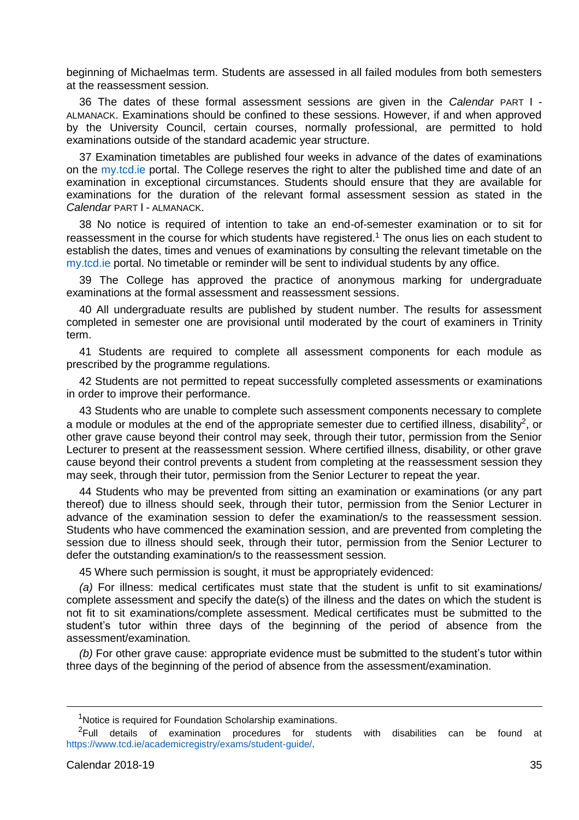beginning of Michaelmas term. Students are assessed in all failed modules from both semesters at the reassessment session.

36 The dates of these formal assessment sessions are given in the *Calendar* PART I - ALMANACK. Examinations should be confined to these sessions. However, if and when approved by the University Council, certain courses, normally professional, are permitted to hold examinations outside of the standard academic year structure.

37 Examination timetables are published four weeks in advance of the dates of examinations on the [my.tcd.ie](https://my.tcd.ie/urd/sits.urd/run/siw_lgn) portal. The College reserves the right to alter the published time and date of an examination in exceptional circumstances. Students should ensure that they are available for examinations for the duration of the relevant formal assessment session as stated in the *Calendar* PART I - ALMANACK.

38 No notice is required of intention to take an end-of-semester examination or to sit for reassessment in the course for which students have registered.<sup>1</sup> The onus lies on each student to establish the dates, times and venues of examinations by consulting the relevant timetable on the [my.tcd.ie](https://my.tcd.ie/urd/sits.urd/run/siw_lgn) portal. No timetable or reminder will be sent to individual students by any office.

39 The College has approved the practice of anonymous marking for undergraduate examinations at the formal assessment and reassessment sessions.

40 All undergraduate results are published by student number. The results for assessment completed in semester one are provisional until moderated by the court of examiners in Trinity term.

41 Students are required to complete all assessment components for each module as prescribed by the programme regulations.

42 Students are not permitted to repeat successfully completed assessments or examinations in order to improve their performance.

43 Students who are unable to complete such assessment components necessary to complete a module or modules at the end of the appropriate semester due to certified illness, disability<sup>2</sup>, or other grave cause beyond their control may seek, through their tutor, permission from the Senior Lecturer to present at the reassessment session. Where certified illness, disability, or other grave cause beyond their control prevents a student from completing at the reassessment session they may seek, through their tutor, permission from the Senior Lecturer to repeat the year.

44 Students who may be prevented from sitting an examination or examinations (or any part thereof) due to illness should seek, through their tutor, permission from the Senior Lecturer in advance of the examination session to defer the examination/s to the reassessment session. Students who have commenced the examination session, and are prevented from completing the session due to illness should seek, through their tutor, permission from the Senior Lecturer to defer the outstanding examination/s to the reassessment session.

45 Where such permission is sought, it must be appropriately evidenced:

*(a)* For illness: medical certificates must state that the student is unfit to sit examinations/ complete assessment and specify the date(s) of the illness and the dates on which the student is not fit to sit examinations/complete assessment. Medical certificates must be submitted to the student's tutor within three days of the beginning of the period of absence from the assessment/examination.

*(b)* For other grave cause: appropriate evidence must be submitted to the student's tutor within three days of the beginning of the period of absence from the assessment/examination.

<u>.</u>

<sup>&</sup>lt;sup>1</sup>Notice is required for Foundation Scholarship examinations.

 ${}^{2}$ Full details of examination procedures for students with disabilities can be found at [https://www.tcd.ie/academicregistry/exams/student-guide/.](https://www.tcd.ie/academicregistry/exams/student-guide/)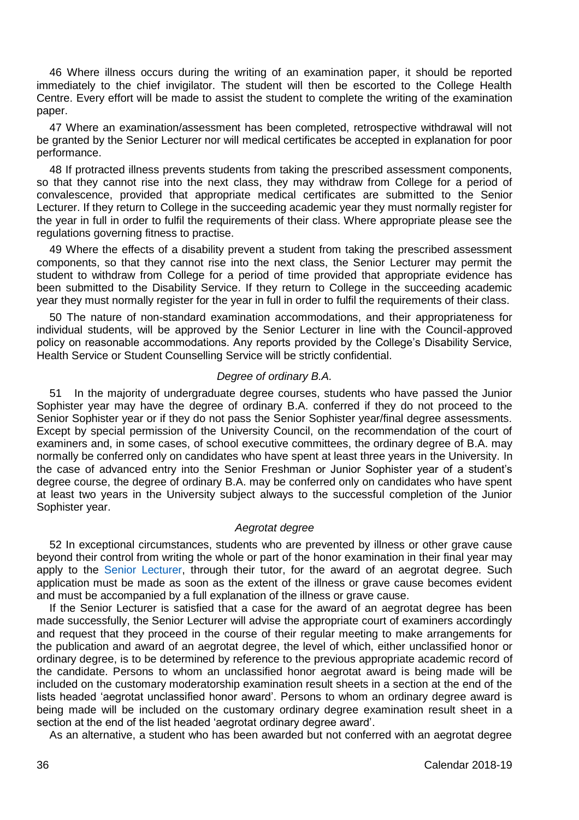46 Where illness occurs during the writing of an examination paper, it should be reported immediately to the chief invigilator. The student will then be escorted to the College Health Centre. Every effort will be made to assist the student to complete the writing of the examination paper.

47 Where an examination/assessment has been completed, retrospective withdrawal will not be granted by the Senior Lecturer nor will medical certificates be accepted in explanation for poor performance.

48 If protracted illness prevents students from taking the prescribed assessment components, so that they cannot rise into the next class, they may withdraw from College for a period of convalescence, provided that appropriate medical certificates are submitted to the Senior Lecturer. If they return to College in the succeeding academic year they must normally register for the year in full in order to fulfil the requirements of their class. Where appropriate please see the regulations governing fitness to practise.

49 Where the effects of a disability prevent a student from taking the prescribed assessment components, so that they cannot rise into the next class, the Senior Lecturer may permit the student to withdraw from College for a period of time provided that appropriate evidence has been submitted to the Disability Service. If they return to College in the succeeding academic year they must normally register for the year in full in order to fulfil the requirements of their class.

50 The nature of non-standard examination accommodations, and their appropriateness for individual students, will be approved by the Senior Lecturer in line with the Council-approved policy on reasonable accommodations. Any reports provided by the College's Disability Service, Health Service or Student Counselling Service will be strictly confidential.

## *Degree of ordinary B.A.*

51 In the majority of undergraduate degree courses, students who have passed the Junior Sophister year may have the degree of ordinary B.A. conferred if they do not proceed to the Senior Sophister year or if they do not pass the Senior Sophister year/final degree assessments. Except by special permission of the University Council, on the recommendation of the court of examiners and, in some cases, of school executive committees, the ordinary degree of B.A. may normally be conferred only on candidates who have spent at least three years in the University. In the case of advanced entry into the Senior Freshman or Junior Sophister year of a student's degree course, the degree of ordinary B.A. may be conferred only on candidates who have spent at least two years in the University subject always to the successful completion of the Junior Sophister year.

#### *Aegrotat degree*

52 In exceptional circumstances, students who are prevented by illness or other grave cause beyond their control from writing the whole or part of the honor examination in their final year may apply to the [Senior Lecturer,](https://www.tcd.ie/undergraduate-studies/) through their tutor, for the award of an aegrotat degree. Such application must be made as soon as the extent of the illness or grave cause becomes evident and must be accompanied by a full explanation of the illness or grave cause.

If the Senior Lecturer is satisfied that a case for the award of an aegrotat degree has been made successfully, the Senior Lecturer will advise the appropriate court of examiners accordingly and request that they proceed in the course of their regular meeting to make arrangements for the publication and award of an aegrotat degree, the level of which, either unclassified honor or ordinary degree, is to be determined by reference to the previous appropriate academic record of the candidate. Persons to whom an unclassified honor aegrotat award is being made will be included on the customary moderatorship examination result sheets in a section at the end of the lists headed 'aegrotat unclassified honor award'. Persons to whom an ordinary degree award is being made will be included on the customary ordinary degree examination result sheet in a section at the end of the list headed 'aegrotat ordinary degree award'.

As an alternative, a student who has been awarded but not conferred with an aegrotat degree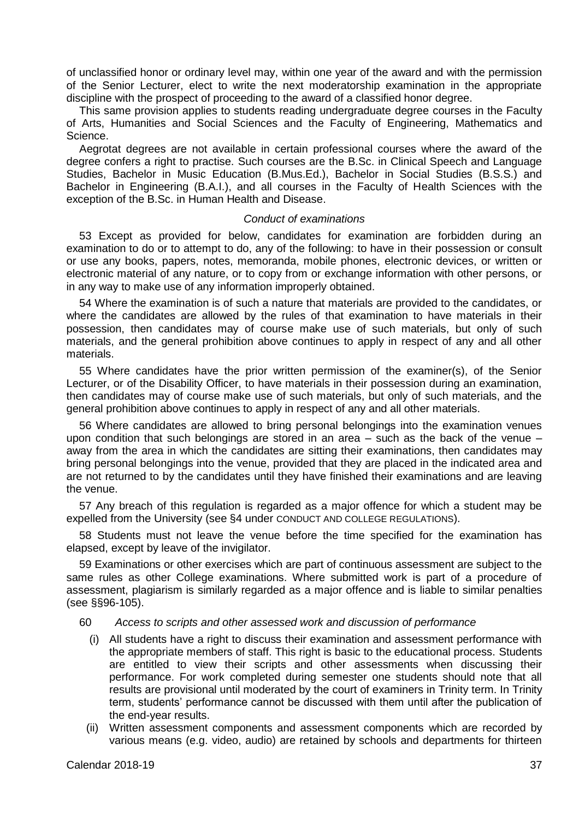of unclassified honor or ordinary level may, within one year of the award and with the permission of the Senior Lecturer, elect to write the next moderatorship examination in the appropriate discipline with the prospect of proceeding to the award of a classified honor degree.

This same provision applies to students reading undergraduate degree courses in the Faculty of Arts, Humanities and Social Sciences and the Faculty of Engineering, Mathematics and Science.

Aegrotat degrees are not available in certain professional courses where the award of the degree confers a right to practise. Such courses are the B.Sc. in Clinical Speech and Language Studies, Bachelor in Music Education (B.Mus.Ed.), Bachelor in Social Studies (B.S.S.) and Bachelor in Engineering (B.A.I.), and all courses in the Faculty of Health Sciences with the exception of the B.Sc. in Human Health and Disease.

#### *Conduct of examinations*

53 Except as provided for below, candidates for examination are forbidden during an examination to do or to attempt to do, any of the following: to have in their possession or consult or use any books, papers, notes, memoranda, mobile phones, electronic devices, or written or electronic material of any nature, or to copy from or exchange information with other persons, or in any way to make use of any information improperly obtained.

54 Where the examination is of such a nature that materials are provided to the candidates, or where the candidates are allowed by the rules of that examination to have materials in their possession, then candidates may of course make use of such materials, but only of such materials, and the general prohibition above continues to apply in respect of any and all other materials.

55 Where candidates have the prior written permission of the examiner(s), of the Senior Lecturer, or of the Disability Officer, to have materials in their possession during an examination, then candidates may of course make use of such materials, but only of such materials, and the general prohibition above continues to apply in respect of any and all other materials.

56 Where candidates are allowed to bring personal belongings into the examination venues upon condition that such belongings are stored in an area – such as the back of the venue – away from the area in which the candidates are sitting their examinations, then candidates may bring personal belongings into the venue, provided that they are placed in the indicated area and are not returned to by the candidates until they have finished their examinations and are leaving the venue.

57 Any breach of this regulation is regarded as a major offence for which a student may be expelled from the University (see §4 under CONDUCT AND COLLEGE REGULATIONS).

58 Students must not leave the venue before the time specified for the examination has elapsed, except by leave of the invigilator.

59 Examinations or other exercises which are part of continuous assessment are subject to the same rules as other College examinations. Where submitted work is part of a procedure of assessment, plagiarism is similarly regarded as a major offence and is liable to similar penalties (see §§96-105).

### 60 *Access to scripts and other assessed work and discussion of performance*

- (i) All students have a right to discuss their examination and assessment performance with the appropriate members of staff. This right is basic to the educational process. Students are entitled to view their scripts and other assessments when discussing their performance. For work completed during semester one students should note that all results are provisional until moderated by the court of examiners in Trinity term. In Trinity term, students' performance cannot be discussed with them until after the publication of the end-year results.
- (ii) Written assessment components and assessment components which are recorded by various means (e.g. video, audio) are retained by schools and departments for thirteen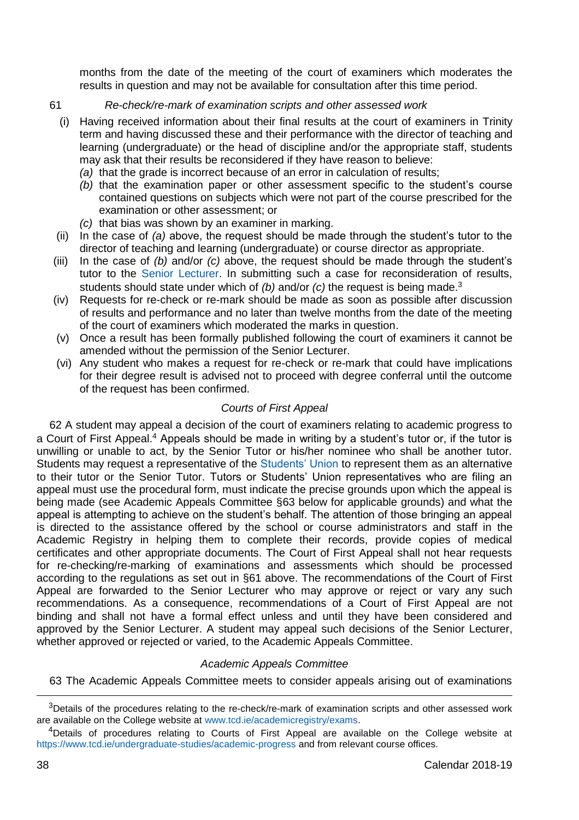months from the date of the meeting of the court of examiners which moderates the results in question and may not be available for consultation after this time period.

# 61 *Re-check/re-mark of examination scripts and other assessed work*

- (i) Having received information about their final results at the court of examiners in Trinity term and having discussed these and their performance with the director of teaching and learning (undergraduate) or the head of discipline and/or the appropriate staff, students may ask that their results be reconsidered if they have reason to believe:
	- *(a)* that the grade is incorrect because of an error in calculation of results;
	- *(b)* that the examination paper or other assessment specific to the student's course contained questions on subjects which were not part of the course prescribed for the examination or other assessment; or
	- *(c)* that bias was shown by an examiner in marking.
- (ii) In the case of *(a)* above, the request should be made through the student's tutor to the director of teaching and learning (undergraduate) or course director as appropriate.
- (iii) In the case of *(b)* and/or *(c)* above, the request should be made through the student's tutor to the [Senior Lecturer.](https://www.tcd.ie/undergraduate-studies/) In submitting such a case for reconsideration of results, students should state under which of *(b)* and/or *(c)* the request is being made.<sup>3</sup>
- (iv) Requests for re-check or re-mark should be made as soon as possible after discussion of results and performance and no later than twelve months from the date of the meeting of the court of examiners which moderated the marks in question.
- (v) Once a result has been formally published following the court of examiners it cannot be amended without the permission of the Senior Lecturer.
- (vi) Any student who makes a request for re-check or re-mark that could have implications for their degree result is advised not to proceed with degree conferral until the outcome of the request has been confirmed.

# *Courts of First Appeal*

62 A student may appeal a decision of the court of examiners relating to academic progress to a Court of First Appeal.<sup>4</sup> Appeals should be made in writing by a student's tutor or, if the tutor is unwilling or unable to act, by the Senior Tutor or his/her nominee who shall be another tutor. Students may request a representative of the [Students' Union](https://www.tcdsu.org/) to represent them as an alternative to their tutor or the Senior Tutor. Tutors or Students' Union representatives who are filing an appeal must use the procedural form, must indicate the precise grounds upon which the appeal is being made (see Academic Appeals Committee §63 below for applicable grounds) and what the appeal is attempting to achieve on the student's behalf. The attention of those bringing an appeal is directed to the assistance offered by the school or course administrators and staff in the Academic Registry in helping them to complete their records, provide copies of medical certificates and other appropriate documents. The Court of First Appeal shall not hear requests for re-checking/re-marking of examinations and assessments which should be processed according to the regulations as set out in §61 above. The recommendations of the Court of First Appeal are forwarded to the Senior Lecturer who may approve or reject or vary any such recommendations. As a consequence, recommendations of a Court of First Appeal are not binding and shall not have a formal effect unless and until they have been considered and approved by the Senior Lecturer. A student may appeal such decisions of the Senior Lecturer, whether approved or rejected or varied, to the Academic Appeals Committee.

## *Academic Appeals Committee*

63 The Academic Appeals Committee meets to consider appeals arising out of examinations

-

 $3$ Details of the procedures relating to the re-check/re-mark of examination scripts and other assessed work are available on the College website at [www.tcd.ie/academicregistry/exams.](http://www.tcd.ie/academicregistry/exams)

<sup>&</sup>lt;sup>4</sup>Details of procedures relating to Courts of First Appeal are available on the College website at <https://www.tcd.ie/undergraduate-studies/academic-progress> and from relevant course offices.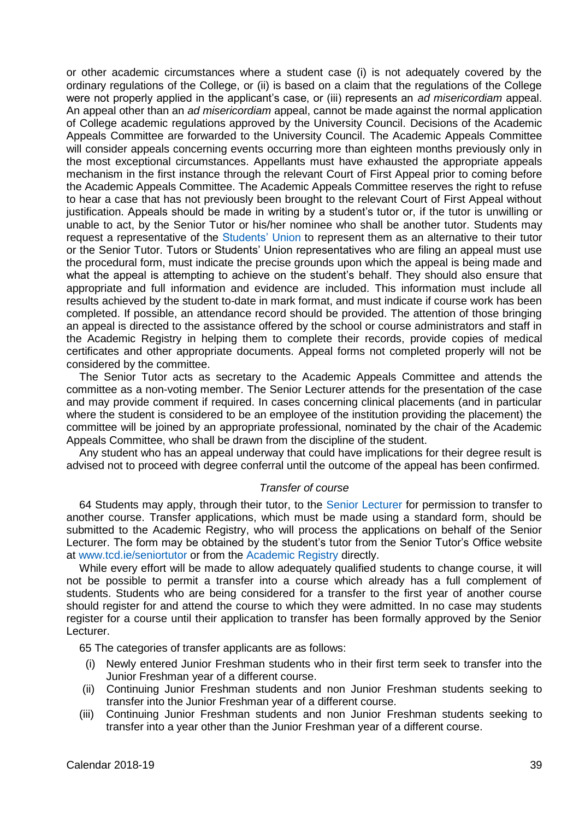or other academic circumstances where a student case (i) is not adequately covered by the ordinary regulations of the College, or (ii) is based on a claim that the regulations of the College were not properly applied in the applicant's case, or (iii) represents an *ad misericordiam* appeal. An appeal other than an *ad misericordiam* appeal, cannot be made against the normal application of College academic regulations approved by the University Council. Decisions of the Academic Appeals Committee are forwarded to the University Council. The Academic Appeals Committee will consider appeals concerning events occurring more than eighteen months previously only in the most exceptional circumstances. Appellants must have exhausted the appropriate appeals mechanism in the first instance through the relevant Court of First Appeal prior to coming before the Academic Appeals Committee. The Academic Appeals Committee reserves the right to refuse to hear a case that has not previously been brought to the relevant Court of First Appeal without justification. Appeals should be made in writing by a student's tutor or, if the tutor is unwilling or unable to act, by the Senior Tutor or his/her nominee who shall be another tutor. Students may request a representative of the [Students'](https://www.tcdsu.org/) Union to represent them as an alternative to their tutor or the Senior Tutor. Tutors or Students' Union representatives who are filing an appeal must use the procedural form, must indicate the precise grounds upon which the appeal is being made and what the appeal is attempting to achieve on the student's behalf. They should also ensure that appropriate and full information and evidence are included. This information must include all results achieved by the student to-date in mark format, and must indicate if course work has been completed. If possible, an attendance record should be provided. The attention of those bringing an appeal is directed to the assistance offered by the school or course administrators and staff in the Academic Registry in helping them to complete their records, provide copies of medical certificates and other appropriate documents. Appeal forms not completed properly will not be considered by the committee.

The Senior Tutor acts as secretary to the Academic Appeals Committee and attends the committee as a non-voting member. The Senior Lecturer attends for the presentation of the case and may provide comment if required. In cases concerning clinical placements (and in particular where the student is considered to be an employee of the institution providing the placement) the committee will be joined by an appropriate professional, nominated by the chair of the Academic Appeals Committee, who shall be drawn from the discipline of the student.

Any student who has an appeal underway that could have implications for their degree result is advised not to proceed with degree conferral until the outcome of the appeal has been confirmed.

## *Transfer of course*

64 Students may apply, through their tutor, to the [Senior Lecturer](https://www.tcd.ie/undergraduate-studies/) for permission to transfer to another course. Transfer applications, which must be made using a standard form, should be submitted to the Academic Registry, who will process the applications on behalf of the Senior Lecturer. The form may be obtained by the student's tutor from the Senior Tutor's Office website at [www.tcd.ie/seniortutor](http://www.tcd.ie/seniortutor/) or from the [Academic Registry](https://www.tcd.ie/academicregistry/index.php) directly.

While every effort will be made to allow adequately qualified students to change course, it will not be possible to permit a transfer into a course which already has a full complement of students. Students who are being considered for a transfer to the first year of another course should register for and attend the course to which they were admitted. In no case may students register for a course until their application to transfer has been formally approved by the Senior Lecturer.

65 The categories of transfer applicants are as follows:

- (i) Newly entered Junior Freshman students who in their first term seek to transfer into the Junior Freshman year of a different course.
- (ii) Continuing Junior Freshman students and non Junior Freshman students seeking to transfer into the Junior Freshman year of a different course.
- (iii) Continuing Junior Freshman students and non Junior Freshman students seeking to transfer into a year other than the Junior Freshman year of a different course.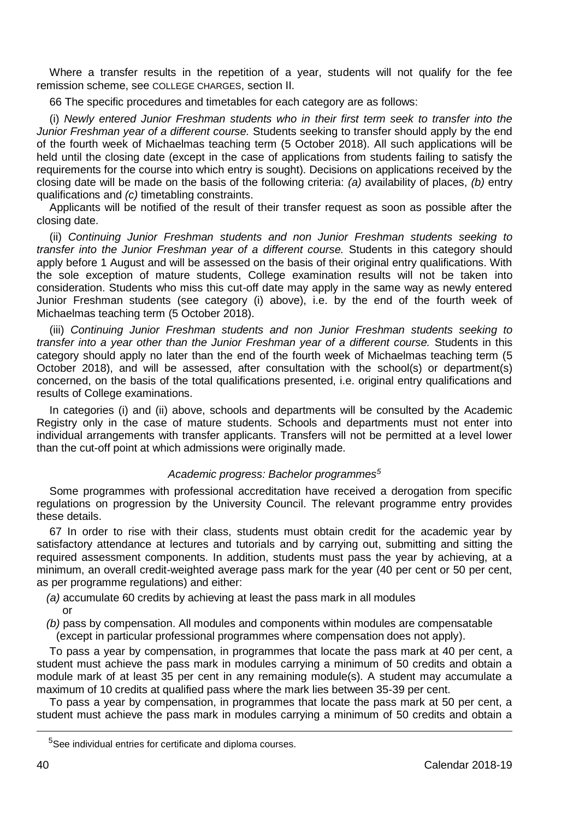Where a transfer results in the repetition of a year, students will not qualify for the fee remission scheme, see COLLEGE CHARGES, section II.

66 The specific procedures and timetables for each category are as follows:

(i) *Newly entered Junior Freshman students who in their first term seek to transfer into the Junior Freshman year of a different course.* Students seeking to transfer should apply by the end of the fourth week of Michaelmas teaching term (5 October 2018). All such applications will be held until the closing date (except in the case of applications from students failing to satisfy the requirements for the course into which entry is sought). Decisions on applications received by the closing date will be made on the basis of the following criteria: *(a)* availability of places, *(b)* entry qualifications and *(c)* timetabling constraints.

Applicants will be notified of the result of their transfer request as soon as possible after the closing date.

(ii) *Continuing Junior Freshman students and non Junior Freshman students seeking to transfer into the Junior Freshman year of a different course.* Students in this category should apply before 1 August and will be assessed on the basis of their original entry qualifications. With the sole exception of mature students, College examination results will not be taken into consideration. Students who miss this cut-off date may apply in the same way as newly entered Junior Freshman students (see category (i) above), i.e. by the end of the fourth week of Michaelmas teaching term (5 October 2018).

(iii) *Continuing Junior Freshman students and non Junior Freshman students seeking to transfer into a year other than the Junior Freshman year of a different course.* Students in this category should apply no later than the end of the fourth week of Michaelmas teaching term (5 October 2018), and will be assessed, after consultation with the school(s) or department(s) concerned, on the basis of the total qualifications presented, i.e. original entry qualifications and results of College examinations.

In categories (i) and (ii) above, schools and departments will be consulted by the Academic Registry only in the case of mature students. Schools and departments must not enter into individual arrangements with transfer applicants. Transfers will not be permitted at a level lower than the cut-off point at which admissions were originally made.

# *Academic progress: Bachelor programmes<sup>5</sup>*

Some programmes with professional accreditation have received a derogation from specific regulations on progression by the University Council. The relevant programme entry provides these details.

67 In order to rise with their class, students must obtain credit for the academic year by satisfactory attendance at lectures and tutorials and by carrying out, submitting and sitting the required assessment components. In addition, students must pass the year by achieving, at a minimum, an overall credit-weighted average pass mark for the year (40 per cent or 50 per cent, as per programme regulations) and either:

- *(a)* accumulate 60 credits by achieving at least the pass mark in all modules or
- *(b)* pass by compensation. All modules and components within modules are compensatable (except in particular professional programmes where compensation does not apply).

To pass a year by compensation, in programmes that locate the pass mark at 40 per cent, a student must achieve the pass mark in modules carrying a minimum of 50 credits and obtain a module mark of at least 35 per cent in any remaining module(s). A student may accumulate a maximum of 10 credits at qualified pass where the mark lies between 35-39 per cent.

To pass a year by compensation, in programmes that locate the pass mark at 50 per cent, a student must achieve the pass mark in modules carrying a minimum of 50 credits and obtain a

<u>.</u>

<sup>&</sup>lt;sup>5</sup>See individual entries for certificate and diploma courses.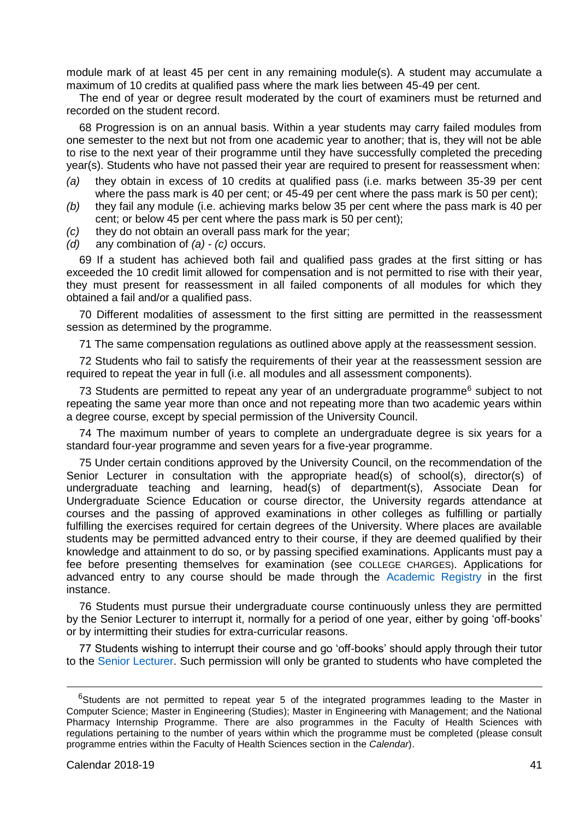module mark of at least 45 per cent in any remaining module(s). A student may accumulate a maximum of 10 credits at qualified pass where the mark lies between 45-49 per cent.

The end of year or degree result moderated by the court of examiners must be returned and recorded on the student record.

68 Progression is on an annual basis. Within a year students may carry failed modules from one semester to the next but not from one academic year to another; that is, they will not be able to rise to the next year of their programme until they have successfully completed the preceding year(s). Students who have not passed their year are required to present for reassessment when:

- *(a)* they obtain in excess of 10 credits at qualified pass (i.e. marks between 35-39 per cent where the pass mark is 40 per cent; or 45-49 per cent where the pass mark is 50 per cent);
- *(b)* they fail any module (i.e. achieving marks below 35 per cent where the pass mark is 40 per cent; or below 45 per cent where the pass mark is 50 per cent);
- *(c)* they do not obtain an overall pass mark for the year;
- *(d)* any combination of *(a) (c)* occurs.

69 If a student has achieved both fail and qualified pass grades at the first sitting or has exceeded the 10 credit limit allowed for compensation and is not permitted to rise with their year, they must present for reassessment in all failed components of all modules for which they obtained a fail and/or a qualified pass.

70 Different modalities of assessment to the first sitting are permitted in the reassessment session as determined by the programme.

71 The same compensation regulations as outlined above apply at the reassessment session.

72 Students who fail to satisfy the requirements of their year at the reassessment session are required to repeat the year in full (i.e. all modules and all assessment components).

73 Students are permitted to repeat any year of an undergraduate programme<sup>6</sup> subject to not repeating the same year more than once and not repeating more than two academic years within a degree course, except by special permission of the University Council.

74 The maximum number of years to complete an undergraduate degree is six years for a standard four-year programme and seven years for a five-year programme.

75 Under certain conditions approved by the University Council, on the recommendation of the Senior Lecturer in consultation with the appropriate head(s) of school(s), director(s) of undergraduate teaching and learning, head(s) of department(s), Associate Dean for Undergraduate Science Education or course director, the University regards attendance at courses and the passing of approved examinations in other colleges as fulfilling or partially fulfilling the exercises required for certain degrees of the University. Where places are available students may be permitted advanced entry to their course, if they are deemed qualified by their knowledge and attainment to do so, or by passing specified examinations. Applicants must pay a fee before presenting themselves for examination (see COLLEGE CHARGES). Applications for advanced entry to any course should be made through the [Academic Registry](https://www.tcd.ie/academicregistry/index.php) in the first instance.

76 Students must pursue their undergraduate course continuously unless they are permitted by the Senior Lecturer to interrupt it, normally for a period of one year, either by going 'off-books' or by intermitting their studies for extra-curricular reasons.

77 Students wishing to interrupt their course and go 'off-books' should apply through their tutor to the [Senior Lecturer.](https://www.tcd.ie/undergraduate-studies/) Such permission will only be granted to students who have completed the

-

 $6$ Students are not permitted to repeat year 5 of the integrated programmes leading to the Master in Computer Science; Master in Engineering (Studies); Master in Engineering with Management; and the National Pharmacy Internship Programme. There are also programmes in the Faculty of Health Sciences with regulations pertaining to the number of years within which the programme must be completed (please consult programme entries within the Faculty of Health Sciences section in the *Calendar*).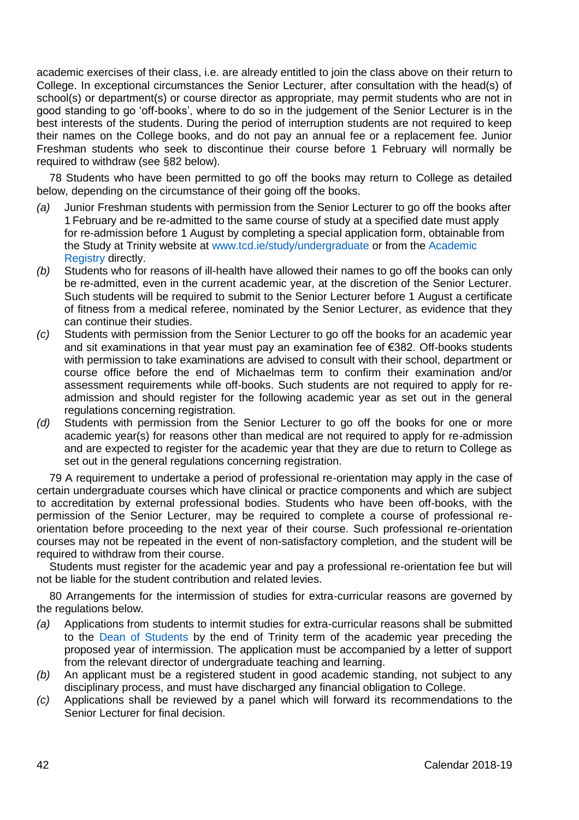academic exercises of their class, i.e. are already entitled to join the class above on their return to College. In exceptional circumstances the Senior Lecturer, after consultation with the head(s) of school(s) or department(s) or course director as appropriate, may permit students who are not in good standing to go 'off-books', where to do so in the judgement of the Senior Lecturer is in the best interests of the students. During the period of interruption students are not required to keep their names on the College books, and do not pay an annual fee or a replacement fee. Junior Freshman students who seek to discontinue their course before 1 February will normally be required to withdraw (see §82 below).

78 Students who have been permitted to go off the books may return to College as detailed below, depending on the circumstance of their going off the books.

- *(a)* Junior Freshman students with permission from the Senior Lecturer to go off the books after 1 February and be re-admitted to the same course of study at a specified date must apply for re-admission before 1 August by completing a special application form, obtainable from the Study at Trinity website at [www.tcd.ie/study/undergraduate](https://www.tcd.ie/study/undergraduate/) or from th[e Academic](https://www.tcd.ie/academicregistry/index.php)  [Registry](https://www.tcd.ie/academicregistry/index.php) directly.
- *(b)* Students who for reasons of ill-health have allowed their names to go off the books can only be re-admitted, even in the current academic year, at the discretion of the Senior Lecturer. Such students will be required to submit to the Senior Lecturer before 1 August a certificate of fitness from a medical referee, nominated by the Senior Lecturer, as evidence that they can continue their studies.
- *(c)* Students with permission from the Senior Lecturer to go off the books for an academic year and sit examinations in that year must pay an examination fee of €382. Off-books students with permission to take examinations are advised to consult with their school, department or course office before the end of Michaelmas term to confirm their examination and/or assessment requirements while off-books. Such students are not required to apply for readmission and should register for the following academic year as set out in the general regulations concerning registration.
- *(d)* Students with permission from the Senior Lecturer to go off the books for one or more academic year(s) for reasons other than medical are not required to apply for re-admission and are expected to register for the academic year that they are due to return to College as set out in the general regulations concerning registration.

79 A requirement to undertake a period of professional re-orientation may apply in the case of certain undergraduate courses which have clinical or practice components and which are subject to accreditation by external professional bodies. Students who have been off-books, with the permission of the Senior Lecturer, may be required to complete a course of professional reorientation before proceeding to the next year of their course. Such professional re-orientation courses may not be repeated in the event of non-satisfactory completion, and the student will be required to withdraw from their course.

Students must register for the academic year and pay a professional re-orientation fee but will not be liable for the student contribution and related levies.

80 Arrangements for the intermission of studies for extra-curricular reasons are governed by the regulations below.

- *(a)* Applications from students to intermit studies for extra-curricular reasons shall be submitted to the [Dean of Students](https://www.tcd.ie/dean_students/) by the end of Trinity term of the academic year preceding the proposed year of intermission. The application must be accompanied by a letter of support from the relevant director of undergraduate teaching and learning.
- *(b)* An applicant must be a registered student in good academic standing, not subject to any disciplinary process, and must have discharged any financial obligation to College.
- *(c)* Applications shall be reviewed by a panel which will forward its recommendations to the Senior Lecturer for final decision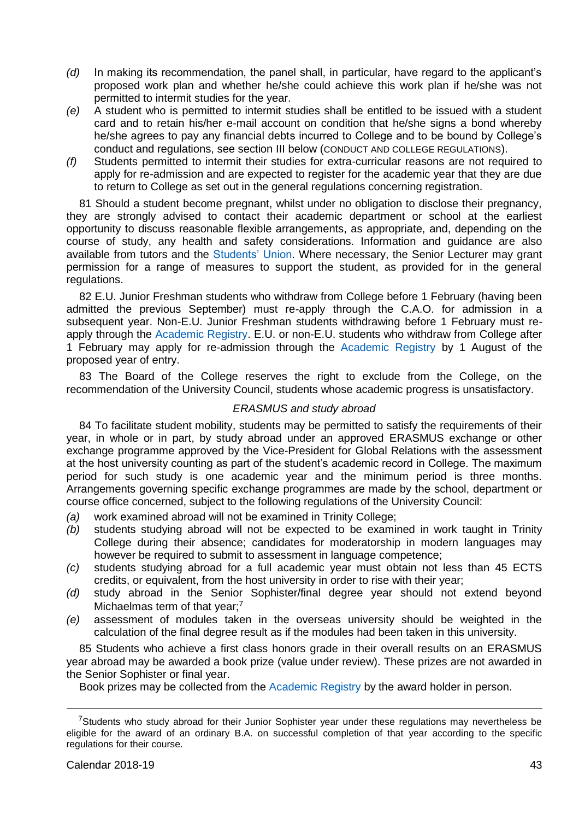- *(d)* In making its recommendation, the panel shall, in particular, have regard to the applicant's proposed work plan and whether he/she could achieve this work plan if he/she was not permitted to intermit studies for the year.
- *(e)* A student who is permitted to intermit studies shall be entitled to be issued with a student card and to retain his/her e-mail account on condition that he/she signs a bond whereby he/she agrees to pay any financial debts incurred to College and to be bound by College's conduct and regulations, see section III below (CONDUCT AND COLLEGE REGULATIONS).
- *(f)* Students permitted to intermit their studies for extra-curricular reasons are not required to apply for re-admission and are expected to register for the academic year that they are due to return to College as set out in the general regulations concerning registration.

81 Should a student become pregnant, whilst under no obligation to disclose their pregnancy, they are strongly advised to contact their academic department or school at the earliest opportunity to discuss reasonable flexible arrangements, as appropriate, and, depending on the course of study, any health and safety considerations. Information and guidance are also available from tutors and the [Students' Union.](https://www.tcdsu.org/) Where necessary, the Senior Lecturer may grant permission for a range of measures to support the student, as provided for in the general regulations.

82 E.U. Junior Freshman students who withdraw from College before 1 February (having been admitted the previous September) must re-apply through the C.A.O. for admission in a subsequent year. Non-E.U. Junior Freshman students withdrawing before 1 February must reapply through the [Academic Registry.](https://www.tcd.ie/academicregistry/index.php) E.U. or non-E.U. students who withdraw from College after 1 February may apply for re-admission through the [Academic Registry](https://www.tcd.ie/academicregistry/index.php) by 1 August of the proposed year of entry.

83 The Board of the College reserves the right to exclude from the College, on the recommendation of the University Council, students whose academic progress is unsatisfactory.

#### *ERASMUS and study abroad*

84 To facilitate student mobility, students may be permitted to satisfy the requirements of their year, in whole or in part, by study abroad under an approved ERASMUS exchange or other exchange programme approved by the Vice-President for Global Relations with the assessment at the host university counting as part of the student's academic record in College. The maximum period for such study is one academic year and the minimum period is three months. Arrangements governing specific exchange programmes are made by the school, department or course office concerned, subject to the following regulations of the University Council:

- *(a)* work examined abroad will not be examined in Trinity College;
- *(b)* students studying abroad will not be expected to be examined in work taught in Trinity College during their absence; candidates for moderatorship in modern languages may however be required to submit to assessment in language competence:
- *(c)* students studying abroad for a full academic year must obtain not less than 45 ECTS credits, or equivalent, from the host university in order to rise with their year;
- *(d)* study abroad in the Senior Sophister/final degree year should not extend beyond Michaelmas term of that year:<sup>7</sup>
- *(e)* assessment of modules taken in the overseas university should be weighted in the calculation of the final degree result as if the modules had been taken in this university.

85 Students who achieve a first class honors grade in their overall results on an ERASMUS year abroad may be awarded a book prize (value under review). These prizes are not awarded in the Senior Sophister or final year.

Book prizes may be collected from th[e Academic Registry](https://www.tcd.ie/academicregistry/index.php) by the award holder in person.

<u>.</u>

<sup>&</sup>lt;sup>7</sup>Students who study abroad for their Junior Sophister year under these regulations may nevertheless be eligible for the award of an ordinary B.A. on successful completion of that year according to the specific regulations for their course.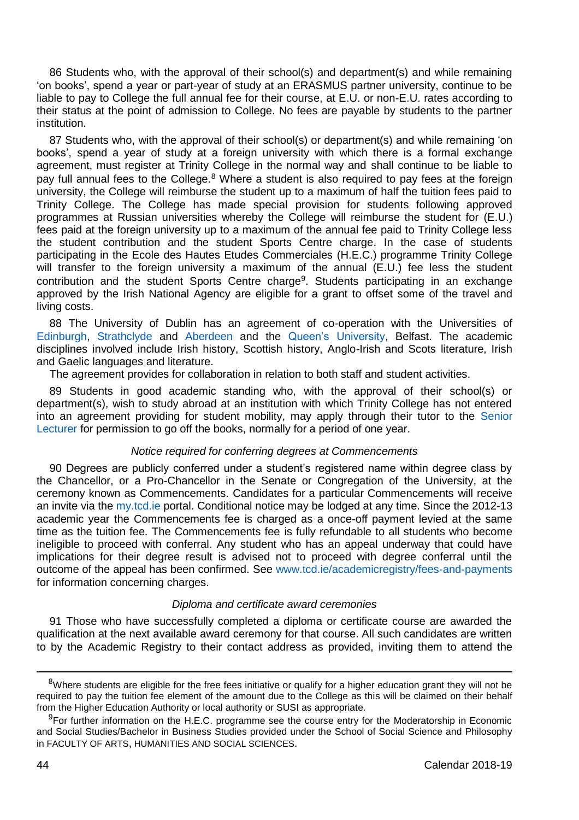86 Students who, with the approval of their school(s) and department(s) and while remaining 'on books', spend a year or part-year of study at an ERASMUS partner university, continue to be liable to pay to College the full annual fee for their course, at E.U. or non-E.U. rates according to their status at the point of admission to College. No fees are payable by students to the partner institution.

87 Students who, with the approval of their school(s) or department(s) and while remaining 'on books', spend a year of study at a foreign university with which there is a formal exchange agreement, must register at Trinity College in the normal way and shall continue to be liable to pay full annual fees to the College.<sup>8</sup> Where a student is also required to pay fees at the foreign university, the College will reimburse the student up to a maximum of half the tuition fees paid to Trinity College. The College has made special provision for students following approved programmes at Russian universities whereby the College will reimburse the student for (E.U.) fees paid at the foreign university up to a maximum of the annual fee paid to Trinity College less the student contribution and the student Sports Centre charge. In the case of students participating in the Ecole des Hautes Etudes Commerciales (H.E.C.) programme Trinity College will transfer to the foreign university a maximum of the annual (E.U.) fee less the student contribution and the student Sports Centre charge<sup>9</sup>. Students participating in an exchange approved by the Irish National Agency are eligible for a grant to offset some of the travel and living costs.

88 The University of Dublin has an agreement of co-operation with the Universities of [Edinburgh,](http://www.ed.ac.uk/) [Strathclyde](https://www.strath.ac.uk/) and [Aberdeen](http://www.abdn.ac.uk/) and the [Queen's University,](https://www.qub.ac.uk/) Belfast. The academic disciplines involved include Irish history, Scottish history, Anglo-Irish and Scots literature, Irish and Gaelic languages and literature.

The agreement provides for collaboration in relation to both staff and student activities.

89 Students in good academic standing who, with the approval of their school(s) or department(s), wish to study abroad at an institution with which Trinity College has not entered into an agreement providing for student mobility, may apply through their tutor to the [Senior](https://www.tcd.ie/undergraduate-studies/)  [Lecturer](https://www.tcd.ie/undergraduate-studies/) for permission to go off the books, normally for a period of one year.

#### *Notice required for conferring degrees at Commencements*

90 Degrees are publicly conferred under a student's registered name within degree class by the Chancellor, or a Pro-Chancellor in the Senate or Congregation of the University, at the ceremony known as Commencements. Candidates for a particular Commencements will receive an invite via th[e my.tcd.ie](https://my.tcd.ie/urd/sits.urd/run/siw_lgn) portal. Conditional notice may be lodged at any time. Since the 2012-13 academic year the Commencements fee is charged as a once-off payment levied at the same time as the tuition fee. The Commencements fee is fully refundable to all students who become ineligible to proceed with conferral. Any student who has an appeal underway that could have implications for their degree result is advised not to proceed with degree conferral until the outcome of the appeal has been confirmed. Se[e www.tcd.ie/academicregistry/fees-and-payments](https://www.tcd.ie/academicregistry/fees-and-payments/) for information concerning charges.

#### *Diploma and certificate award ceremonies*

91 Those who have successfully completed a diploma or certificate course are awarded the qualification at the next available award ceremony for that course. All such candidates are written to by the Academic Registry to their contact address as provided, inviting them to attend the

-

<sup>&</sup>lt;sup>8</sup>Where students are eligible for the free fees initiative or qualify for a higher education grant they will not be required to pay the tuition fee element of the amount due to the College as this will be claimed on their behalf from the Higher Education Authority or local authority or SUSI as appropriate.

 $9$ For further information on the H.E.C. programme see the course entry for the Moderatorship in Economic and Social Studies/Bachelor in Business Studies provided under the School of Social Science and Philosophy in FACULTY OF ARTS, HUMANITIES AND SOCIAL SCIENCES.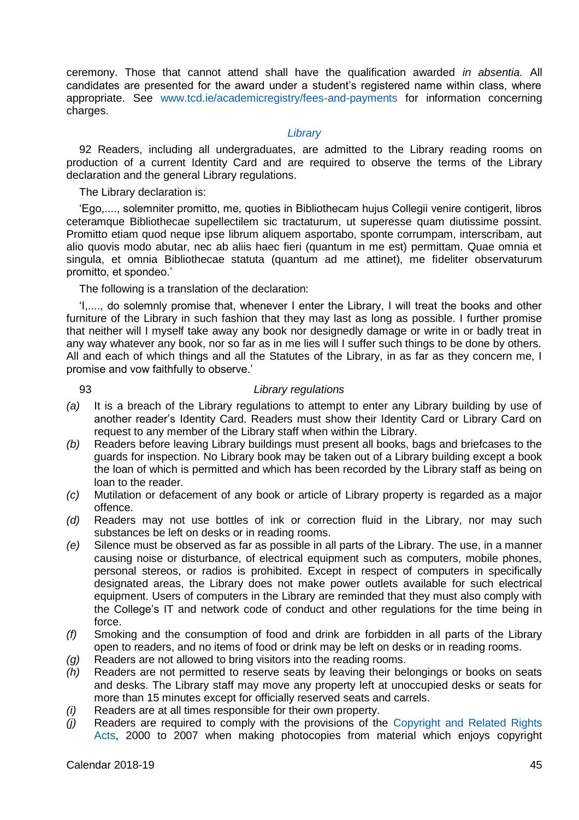ceremony. Those that cannot attend shall have the qualification awarded *in absentia.* All candidates are presented for the award under a student's registered name within class, where appropriate. See [www.tcd.ie/academicregistry/fees-and-payments](https://www.tcd.ie/academicregistry/fees-and-payments/) for information concerning charges.

# *[Library](http://www.tcd.ie/Library/)*

92 Readers, including all undergraduates, are admitted to the Library reading rooms on production of a current Identity Card and are required to observe the terms of the Library declaration and the general Library regulations.

The Library declaration is:

'Ego,...., solemniter promitto, me, quoties in Bibliothecam hujus Collegii venire contigerit, libros ceteramque Bibliothecae supellectilem sic tractaturum, ut superesse quam diutissime possint. Promitto etiam quod neque ipse librum aliquem asportabo, sponte corrumpam, interscribam, aut alio quovis modo abutar, nec ab aliis haec fieri (quantum in me est) permittam. Quae omnia et singula, et omnia Bibliothecae statuta (quantum ad me attinet), me fideliter observaturum promitto, et spondeo.'

The following is a translation of the declaration:

'I,...., do solemnly promise that, whenever I enter the Library, I will treat the books and other furniture of the Library in such fashion that they may last as long as possible. I further promise that neither will I myself take away any book nor designedly damage or write in or badly treat in any way whatever any book, nor so far as in me lies will I suffer such things to be done by others. All and each of which things and all the Statutes of the Library, in as far as they concern me, I promise and vow faithfully to observe.'

# 93 *Library regulations*

- *(a)* It is a breach of the Library regulations to attempt to enter any Library building by use of another reader's Identity Card. Readers must show their Identity Card or Library Card on request to any member of the Library staff when within the Library.
- *(b)* Readers before leaving Library buildings must present all books, bags and briefcases to the guards for inspection. No Library book may be taken out of a Library building except a book the loan of which is permitted and which has been recorded by the Library staff as being on loan to the reader.
- *(c)* Mutilation or defacement of any book or article of Library property is regarded as a major offence.
- *(d)* Readers may not use bottles of ink or correction fluid in the Library, nor may such substances be left on desks or in reading rooms.
- *(e)* Silence must be observed as far as possible in all parts of the Library. The use, in a manner causing noise or disturbance, of electrical equipment such as computers, mobile phones, personal stereos, or radios is prohibited. Except in respect of computers in specifically designated areas, the Library does not make power outlets available for such electrical equipment. Users of computers in the Library are reminded that they must also comply with the College's IT and network code of conduct and other regulations for the time being in force.
- *(f)* Smoking and the consumption of food and drink are forbidden in all parts of the Library open to readers, and no items of food or drink may be left on desks or in reading rooms.
- *(g)* Readers are not allowed to bring visitors into the reading rooms.
- *(h)* Readers are not permitted to reserve seats by leaving their belongings or books on seats and desks. The Library staff may move any property left at unoccupied desks or seats for more than 15 minutes except for officially reserved seats and carrels.
- *(i)* Readers are at all times responsible for their own property.
- *(j)* Readers are required to comply with the provisions of the [Copyright and Related Rights](http://www.irishstatutebook.ie/eli/2000/act/28/enacted/en/html)  [Acts,](http://www.irishstatutebook.ie/eli/2000/act/28/enacted/en/html) 2000 to 2007 when making photocopies from material which enjoys copyright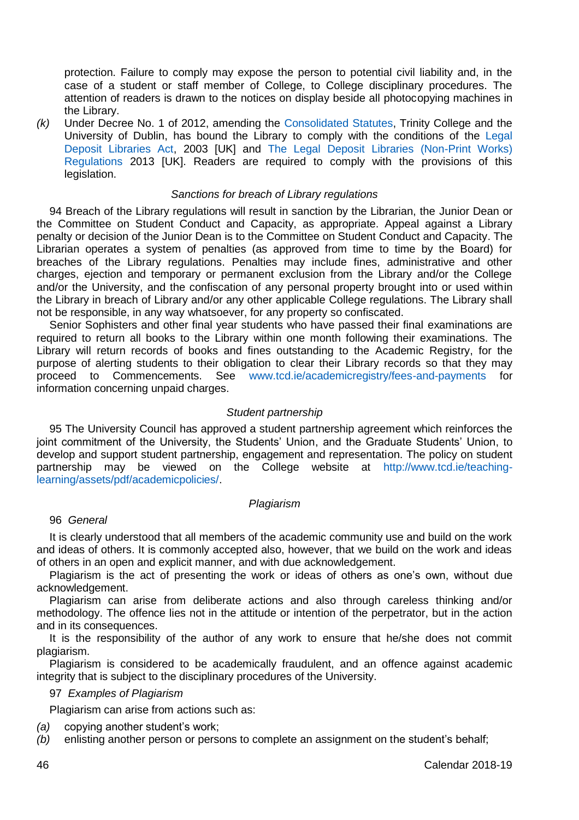protection. Failure to comply may expose the person to potential civil liability and, in the case of a student or staff member of College, to College disciplinary procedures. The attention of readers is drawn to the notices on display beside all photocopying machines in the Library.

*(k)* Under Decree No. 1 of 2012, amending the [Consolidated Statutes,](https://www.tcd.ie/registrar/statutes/) Trinity College and the University of Dublin, has bound the Library to comply with the conditions of the [Legal](http://www.legislation.gov.uk/ukpga/2003/28/contents)  [Deposit Libraries Act,](http://www.legislation.gov.uk/ukpga/2003/28/contents) 2003 [UK] and [The Legal Deposit Libraries \(Non-Print Works\)](http://www.legislation.gov.uk/ukdsi/2013/9780111533703)  [Regulations](http://www.legislation.gov.uk/ukdsi/2013/9780111533703) 2013 [UK]. Readers are required to comply with the provisions of this legislation.

# *Sanctions for breach of Library regulations*

94 Breach of the Library regulations will result in sanction by the Librarian, the Junior Dean or the Committee on Student Conduct and Capacity, as appropriate. Appeal against a Library penalty or decision of the Junior Dean is to the Committee on Student Conduct and Capacity. The Librarian operates a system of penalties (as approved from time to time by the Board) for breaches of the Library regulations. Penalties may include fines, administrative and other charges, ejection and temporary or permanent exclusion from the Library and/or the College and/or the University, and the confiscation of any personal property brought into or used within the Library in breach of Library and/or any other applicable College regulations. The Library shall not be responsible, in any way whatsoever, for any property so confiscated.

Senior Sophisters and other final year students who have passed their final examinations are required to return all books to the Library within one month following their examinations. The Library will return records of books and fines outstanding to the Academic Registry, for the purpose of alerting students to their obligation to clear their Library records so that they may proceed to Commencements. See [www.tcd.ie/academicregistry/fees-and-payments](https://www.tcd.ie/academicregistry/fees-and-payments/) for information concerning unpaid charges.

#### *Student partnership*

95 The University Council has approved a student partnership agreement which reinforces the joint commitment of the University, the Students' Union, and the Graduate Students' Union, to develop and support student partnership, engagement and representation. The policy on student partnership may be viewed on the College website at [http://www.tcd.ie/teaching](http://www.tcd.ie/teaching-learning/assets/pdf/academicpolicies/)[learning/assets/pdf/academicpolicies/.](http://www.tcd.ie/teaching-learning/assets/pdf/academicpolicies/)

#### *Plagiarism*

## 96 *General*

It is clearly understood that all members of the academic community use and build on the work and ideas of others. It is commonly accepted also, however, that we build on the work and ideas of others in an open and explicit manner, and with due acknowledgement.

Plagiarism is the act of presenting the work or ideas of others as one's own, without due acknowledgement.

Plagiarism can arise from deliberate actions and also through careless thinking and/or methodology. The offence lies not in the attitude or intention of the perpetrator, but in the action and in its consequences.

It is the responsibility of the author of any work to ensure that he/she does not commit plagiarism.

Plagiarism is considered to be academically fraudulent, and an offence against academic integrity that is subject to the disciplinary procedures of the University.

## 97 *Examples of Plagiarism*

Plagiarism can arise from actions such as:

*(a)* copying another student's work;

*(b)* enlisting another person or persons to complete an assignment on the student's behalf;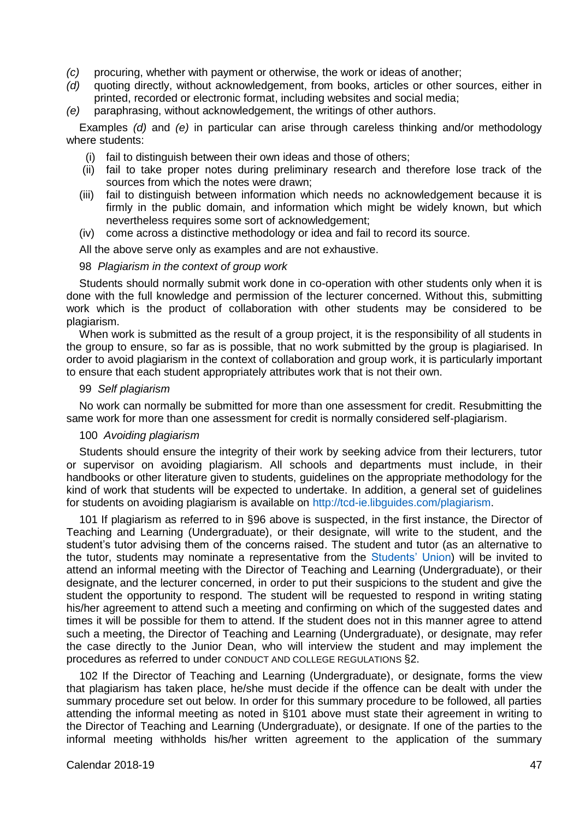- *(c)* procuring, whether with payment or otherwise, the work or ideas of another;
- *(d)* quoting directly, without acknowledgement, from books, articles or other sources, either in printed, recorded or electronic format, including websites and social media;
- *(e)* paraphrasing, without acknowledgement, the writings of other authors.

Examples *(d)* and *(e)* in particular can arise through careless thinking and/or methodology where students:

- (i) fail to distinguish between their own ideas and those of others;
- (ii) fail to take proper notes during preliminary research and therefore lose track of the sources from which the notes were drawn;
- (iii) fail to distinguish between information which needs no acknowledgement because it is firmly in the public domain, and information which might be widely known, but which nevertheless requires some sort of acknowledgement;
- (iv) come across a distinctive methodology or idea and fail to record its source.

All the above serve only as examples and are not exhaustive.

#### 98 *Plagiarism in the context of group work*

Students should normally submit work done in co-operation with other students only when it is done with the full knowledge and permission of the lecturer concerned. Without this, submitting work which is the product of collaboration with other students may be considered to be plagiarism.

When work is submitted as the result of a group project, it is the responsibility of all students in the group to ensure, so far as is possible, that no work submitted by the group is plagiarised. In order to avoid plagiarism in the context of collaboration and group work, it is particularly important to ensure that each student appropriately attributes work that is not their own.

#### 99 *Self plagiarism*

No work can normally be submitted for more than one assessment for credit. Resubmitting the same work for more than one assessment for credit is normally considered self-plagiarism.

#### 100 *Avoiding plagiarism*

Students should ensure the integrity of their work by seeking advice from their lecturers, tutor or supervisor on avoiding plagiarism. All schools and departments must include, in their handbooks or other literature given to students, guidelines on the appropriate methodology for the kind of work that students will be expected to undertake. In addition, a general set of guidelines for students on avoiding plagiarism is available on [http://tcd-ie.libguides.com/plagiarism.](http://tcd-ie.libguides.com/plagiarism)

101 If plagiarism as referred to in §96 above is suspected, in the first instance, the Director of Teaching and Learning (Undergraduate), or their designate, will write to the student, and the student's tutor advising them of the concerns raised. The student and tutor (as an alternative to the tutor, students may nominate a representative from the [Students' Union\)](https://www.tcdsu.org/) will be invited to attend an informal meeting with the Director of Teaching and Learning (Undergraduate), or their designate, and the lecturer concerned, in order to put their suspicions to the student and give the student the opportunity to respond. The student will be requested to respond in writing stating his/her agreement to attend such a meeting and confirming on which of the suggested dates and times it will be possible for them to attend. If the student does not in this manner agree to attend such a meeting, the Director of Teaching and Learning (Undergraduate), or designate, may refer the case directly to the Junior Dean, who will interview the student and may implement the procedures as referred to under CONDUCT AND COLLEGE REGULATIONS §2.

102 If the Director of Teaching and Learning (Undergraduate), or designate, forms the view that plagiarism has taken place, he/she must decide if the offence can be dealt with under the summary procedure set out below. In order for this summary procedure to be followed, all parties attending the informal meeting as noted in §101 above must state their agreement in writing to the Director of Teaching and Learning (Undergraduate), or designate. If one of the parties to the informal meeting withholds his/her written agreement to the application of the summary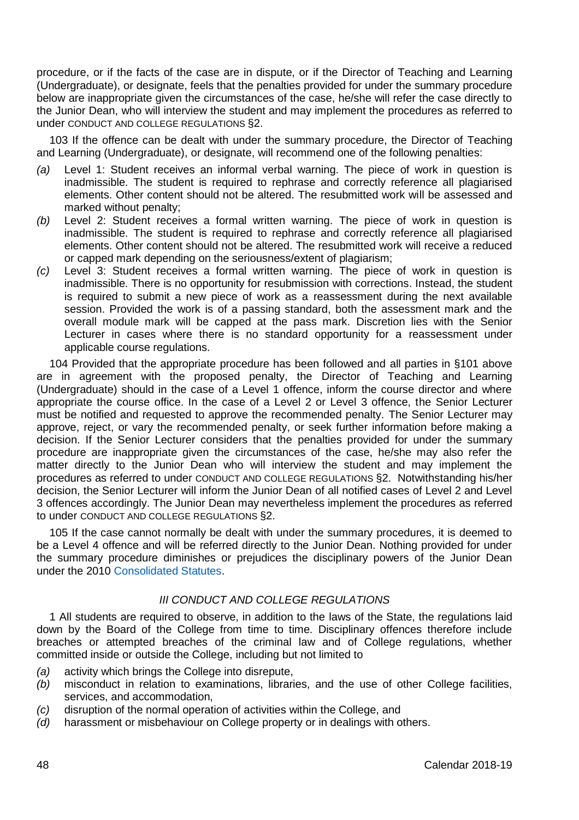procedure, or if the facts of the case are in dispute, or if the Director of Teaching and Learning (Undergraduate), or designate, feels that the penalties provided for under the summary procedure below are inappropriate given the circumstances of the case, he/she will refer the case directly to the Junior Dean, who will interview the student and may implement the procedures as referred to under CONDUCT AND COLLEGE REGULATIONS §2.

103 If the offence can be dealt with under the summary procedure, the Director of Teaching and Learning (Undergraduate), or designate, will recommend one of the following penalties:

- *(a)* Level 1: Student receives an informal verbal warning. The piece of work in question is inadmissible. The student is required to rephrase and correctly reference all plagiarised elements. Other content should not be altered. The resubmitted work will be assessed and marked without penalty;
- *(b)* Level 2: Student receives a formal written warning. The piece of work in question is inadmissible. The student is required to rephrase and correctly reference all plagiarised elements. Other content should not be altered. The resubmitted work will receive a reduced or capped mark depending on the seriousness/extent of plagiarism;
- *(c)* Level 3: Student receives a formal written warning. The piece of work in question is inadmissible. There is no opportunity for resubmission with corrections. Instead, the student is required to submit a new piece of work as a reassessment during the next available session. Provided the work is of a passing standard, both the assessment mark and the overall module mark will be capped at the pass mark. Discretion lies with the Senior Lecturer in cases where there is no standard opportunity for a reassessment under applicable course regulations.

104 Provided that the appropriate procedure has been followed and all parties in §101 above are in agreement with the proposed penalty, the Director of Teaching and Learning (Undergraduate) should in the case of a Level 1 offence, inform the course director and where appropriate the course office. In the case of a Level 2 or Level 3 offence, the Senior Lecturer must be notified and requested to approve the recommended penalty. The Senior Lecturer may approve, reject, or vary the recommended penalty, or seek further information before making a decision. If the Senior Lecturer considers that the penalties provided for under the summary procedure are inappropriate given the circumstances of the case, he/she may also refer the matter directly to the Junior Dean who will interview the student and may implement the procedures as referred to under CONDUCT AND COLLEGE REGULATIONS §2. Notwithstanding his/her decision, the Senior Lecturer will inform the Junior Dean of all notified cases of Level 2 and Level 3 offences accordingly. The Junior Dean may nevertheless implement the procedures as referred to under CONDUCT AND COLLEGE REGULATIONS §2.

105 If the case cannot normally be dealt with under the summary procedures, it is deemed to be a Level 4 offence and will be referred directly to the Junior Dean. Nothing provided for under the summary procedure diminishes or prejudices the disciplinary powers of the Junior Dean under the 201[0 Consolidated Statutes.](https://www.tcd.ie/registrar/statutes/)

# *III CONDUCT AND COLLEGE REGULATIONS*

1 All students are required to observe, in addition to the laws of the State, the regulations laid down by the Board of the College from time to time. Disciplinary offences therefore include breaches or attempted breaches of the criminal law and of College regulations, whether committed inside or outside the College, including but not limited to

- *(a)* activity which brings the College into disrepute,
- *(b)* misconduct in relation to examinations, libraries, and the use of other College facilities, services, and accommodation,
- *(c)* disruption of the normal operation of activities within the College, and
- *(d)* harassment or misbehaviour on College property or in dealings with others.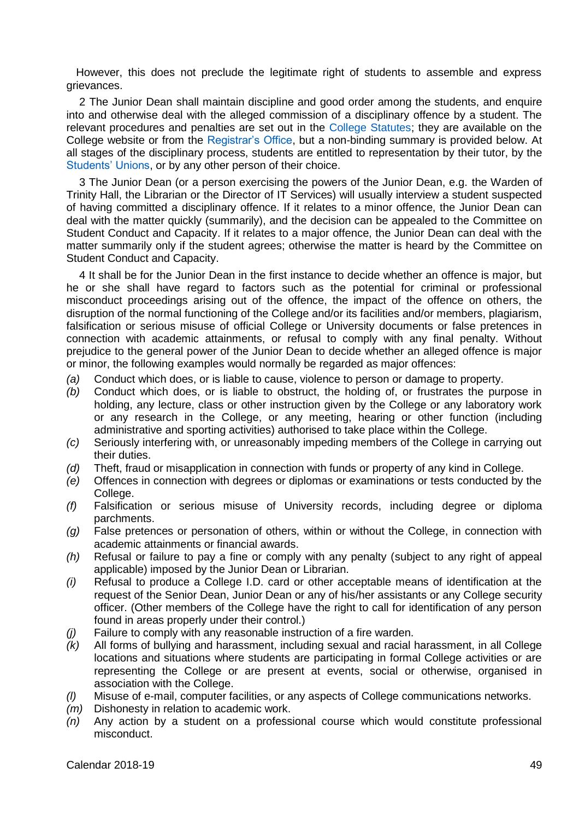However, this does not preclude the legitimate right of students to assemble and express grievances.

2 The Junior Dean shall maintain discipline and good order among the students, and enquire into and otherwise deal with the alleged commission of a disciplinary offence by a student. The relevant procedures and penalties are set out in the [College Statutes;](https://www.tcd.ie/registrar/statutes/) they are available on the College website or from the [Registrar's Office,](https://www.tcd.ie/registrar/contact/) but a non-binding summary is provided below. At all stages of the disciplinary process, students are entitled to representation by their tutor, by the [Students' Unions,](https://www.tcdsu.org/) or by any other person of their choice.

3 The Junior Dean (or a person exercising the powers of the Junior Dean, e.g. the Warden of Trinity Hall, the Librarian or the Director of IT Services) will usually interview a student suspected of having committed a disciplinary offence. If it relates to a minor offence, the Junior Dean can deal with the matter quickly (summarily), and the decision can be appealed to the Committee on Student Conduct and Capacity. If it relates to a major offence, the Junior Dean can deal with the matter summarily only if the student agrees; otherwise the matter is heard by the Committee on Student Conduct and Capacity.

4 It shall be for the Junior Dean in the first instance to decide whether an offence is major, but he or she shall have regard to factors such as the potential for criminal or professional misconduct proceedings arising out of the offence, the impact of the offence on others, the disruption of the normal functioning of the College and/or its facilities and/or members, plagiarism, falsification or serious misuse of official College or University documents or false pretences in connection with academic attainments, or refusal to comply with any final penalty. Without prejudice to the general power of the Junior Dean to decide whether an alleged offence is major or minor, the following examples would normally be regarded as major offences:

- *(a)* Conduct which does, or is liable to cause, violence to person or damage to property.
- *(b)* Conduct which does, or is liable to obstruct, the holding of, or frustrates the purpose in holding, any lecture, class or other instruction given by the College or any laboratory work or any research in the College, or any meeting, hearing or other function (including administrative and sporting activities) authorised to take place within the College.
- *(c)* Seriously interfering with, or unreasonably impeding members of the College in carrying out their duties.
- *(d)* Theft, fraud or misapplication in connection with funds or property of any kind in College.
- *(e)* Offences in connection with degrees or diplomas or examinations or tests conducted by the College.
- *(f)* Falsification or serious misuse of University records, including degree or diploma parchments.
- *(g)* False pretences or personation of others, within or without the College, in connection with academic attainments or financial awards.
- *(h)* Refusal or failure to pay a fine or comply with any penalty (subject to any right of appeal applicable) imposed by the Junior Dean or Librarian.
- *(i)* Refusal to produce a College I.D. card or other acceptable means of identification at the request of the Senior Dean, Junior Dean or any of his/her assistants or any College security officer. (Other members of the College have the right to call for identification of any person found in areas properly under their control.)
- *(j)* Failure to comply with any reasonable instruction of a fire warden.
- *(k)* All forms of bullying and harassment, including sexual and racial harassment, in all College locations and situations where students are participating in formal College activities or are representing the College or are present at events, social or otherwise, organised in association with the College.
- *(l)* Misuse of e-mail, computer facilities, or any aspects of College communications networks.
- *(m)* Dishonesty in relation to academic work.<br>*(n)* Any action by a student on a profess
- *(n)* Any action by a student on a professional course which would constitute professional misconduct.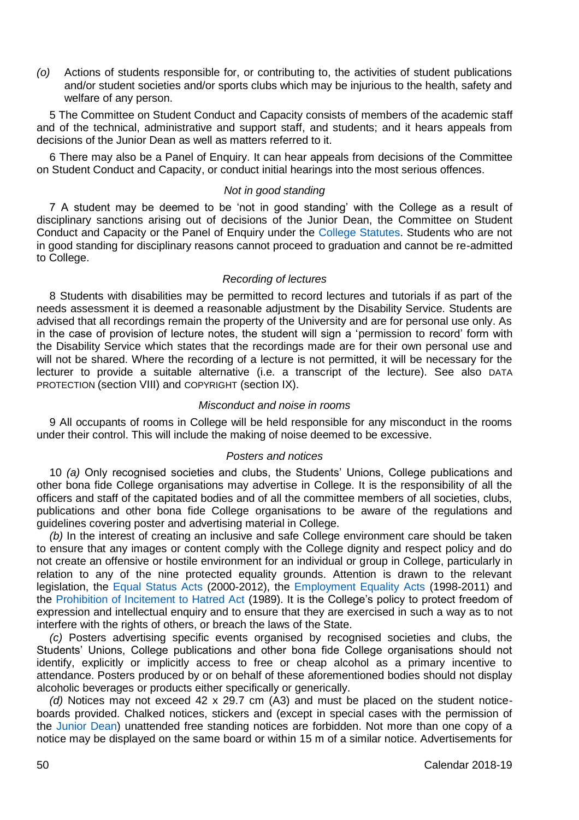*(o)* Actions of students responsible for, or contributing to, the activities of student publications and/or student societies and/or sports clubs which may be injurious to the health, safety and welfare of any person.

5 The Committee on Student Conduct and Capacity consists of members of the academic staff and of the technical, administrative and support staff, and students; and it hears appeals from decisions of the Junior Dean as well as matters referred to it.

6 There may also be a Panel of Enquiry. It can hear appeals from decisions of the Committee on Student Conduct and Capacity, or conduct initial hearings into the most serious offences.

# *Not in good standing*

7 A student may be deemed to be 'not in good standing' with the College as a result of disciplinary sanctions arising out of decisions of the Junior Dean, the Committee on Student Conduct and Capacity or the Panel of Enquiry under the [College Statutes.](https://www.tcd.ie/registrar/statutes/) Students who are not in good standing for disciplinary reasons cannot proceed to graduation and cannot be re-admitted to College.

## *Recording of lectures*

8 Students with disabilities may be permitted to record lectures and tutorials if as part of the needs assessment it is deemed a reasonable adjustment by the Disability Service. Students are advised that all recordings remain the property of the University and are for personal use only. As in the case of provision of lecture notes, the student will sign a 'permission to record' form with the Disability Service which states that the recordings made are for their own personal use and will not be shared. Where the recording of a lecture is not permitted, it will be necessary for the lecturer to provide a suitable alternative (i.e. a transcript of the lecture). See also DATA PROTECTION (section VIII) and COPYRIGHT (section IX).

#### *Misconduct and noise in rooms*

9 All occupants of rooms in College will be held responsible for any misconduct in the rooms under their control. This will include the making of noise deemed to be excessive.

## *Posters and notices*

10 *(a)* Only recognised societies and clubs, the Students' Unions, College publications and other bona fide College organisations may advertise in College. It is the responsibility of all the officers and staff of the capitated bodies and of all the committee members of all societies, clubs, publications and other bona fide College organisations to be aware of the regulations and guidelines covering poster and advertising material in College.

*(b)* In the interest of creating an inclusive and safe College environment care should be taken to ensure that any images or content comply with the College dignity and respect policy and do not create an offensive or hostile environment for an individual or group in College, particularly in relation to any of the nine protected equality grounds. Attention is drawn to the relevant legislation, the [Equal Status Acts](http://www.irishstatutebook.ie/eli/2000/act/8/enacted/en/html) (2000-2012), the [Employment Equality Acts](http://www.irishstatutebook.ie/eli/1998/act/21/enacted/en/html) (1998-2011) and the [Prohibition of Incitement to Hatred Act](http://www.irishstatutebook.ie/eli/1989/act/19/enacted/en/html) (1989). It is the College's policy to protect freedom of expression and intellectual enquiry and to ensure that they are exercised in such a way as to not interfere with the rights of others, or breach the laws of the State.

*(c)* Posters advertising specific events organised by recognised societies and clubs, the Students' Unions, College publications and other bona fide College organisations should not identify, explicitly or implicitly access to free or cheap alcohol as a primary incentive to attendance. Posters produced by or on behalf of these aforementioned bodies should not display alcoholic beverages or products either specifically or generically.

*(d)* Notices may not exceed 42 x 29.7 cm (A3) and must be placed on the student noticeboards provided. Chalked notices, stickers and (except in special cases with the permission of the [Junior Dean\)](https://www.tcd.ie/Junior_Dean/) unattended free standing notices are forbidden. Not more than one copy of a notice may be displayed on the same board or within 15 m of a similar notice. Advertisements for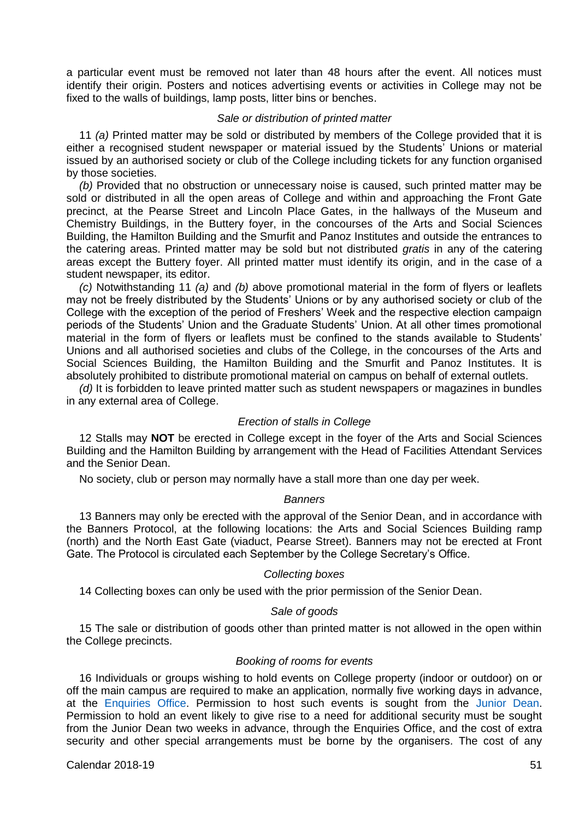a particular event must be removed not later than 48 hours after the event. All notices must identify their origin. Posters and notices advertising events or activities in College may not be fixed to the walls of buildings, lamp posts, litter bins or benches.

#### *Sale or distribution of printed matter*

11 *(a)* Printed matter may be sold or distributed by members of the College provided that it is either a recognised student newspaper or material issued by the Students' Unions or material issued by an authorised society or club of the College including tickets for any function organised by those societies.

*(b)* Provided that no obstruction or unnecessary noise is caused, such printed matter may be sold or distributed in all the open areas of College and within and approaching the Front Gate precinct, at the Pearse Street and Lincoln Place Gates, in the hallways of the Museum and Chemistry Buildings, in the Buttery foyer, in the concourses of the Arts and Social Sciences Building, the Hamilton Building and the Smurfit and Panoz Institutes and outside the entrances to the catering areas. Printed matter may be sold but not distributed *gratis* in any of the catering areas except the Buttery foyer. All printed matter must identify its origin, and in the case of a student newspaper, its editor.

*(c)* Notwithstanding 11 *(a)* and *(b)* above promotional material in the form of flyers or leaflets may not be freely distributed by the Students' Unions or by any authorised society or club of the College with the exception of the period of Freshers' Week and the respective election campaign periods of the Students' Union and the Graduate Students' Union. At all other times promotional material in the form of flyers or leaflets must be confined to the stands available to Students' Unions and all authorised societies and clubs of the College, in the concourses of the Arts and Social Sciences Building, the Hamilton Building and the Smurfit and Panoz Institutes. It is absolutely prohibited to distribute promotional material on campus on behalf of external outlets.

*(d)* It is forbidden to leave printed matter such as student newspapers or magazines in bundles in any external area of College.

## *Erection of stalls in College*

12 Stalls may **NOT** be erected in College except in the foyer of the Arts and Social Sciences Building and the Hamilton Building by arrangement with the Head of Facilities Attendant Services and the Senior Dean.

No society, club or person may normally have a stall more than one day per week.

#### *Banners*

13 Banners may only be erected with the approval of the Senior Dean, and in accordance with the Banners Protocol, at the following locations: the Arts and Social Sciences Building ramp (north) and the North East Gate (viaduct, Pearse Street). Banners may not be erected at Front Gate. The Protocol is circulated each September by the College Secretary's Office.

# *Collecting boxes*

14 Collecting boxes can only be used with the prior permission of the Senior Dean.

#### *Sale of goods*

15 The sale or distribution of goods other than printed matter is not allowed in the open within the College precincts.

#### *Booking of rooms for events*

16 Individuals or groups wishing to hold events on College property (indoor or outdoor) on or off the main campus are required to make an application, normally five working days in advance, at the [Enquiries Office.](https://www.tcd.ie/commercial/enquiries-and-events/) Permission to host such events is sought from the [Junior Dean.](https://www.tcd.ie/Junior_Dean/)  Permission to hold an event likely to give rise to a need for additional security must be sought from the Junior Dean two weeks in advance, through the Enquiries Office, and the cost of extra security and other special arrangements must be borne by the organisers. The cost of any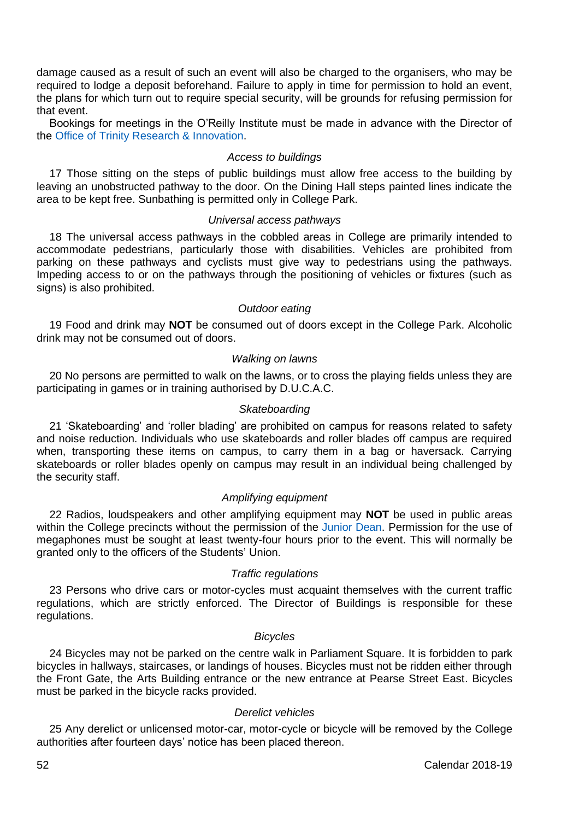damage caused as a result of such an event will also be charged to the organisers, who may be required to lodge a deposit beforehand. Failure to apply in time for permission to hold an event, the plans for which turn out to require special security, will be grounds for refusing permission for that event.

Bookings for meetings in the O'Reilly Institute must be made in advance with the Director of the [Office of Trinity Research &](https://www.tcd.ie/research_innovation/contact/) Innovation.

#### *Access to buildings*

17 Those sitting on the steps of public buildings must allow free access to the building by leaving an unobstructed pathway to the door. On the Dining Hall steps painted lines indicate the area to be kept free. Sunbathing is permitted only in College Park.

#### *Universal access pathways*

18 The universal access pathways in the cobbled areas in College are primarily intended to accommodate pedestrians, particularly those with disabilities. Vehicles are prohibited from parking on these pathways and cyclists must give way to pedestrians using the pathways. Impeding access to or on the pathways through the positioning of vehicles or fixtures (such as signs) is also prohibited.

## *Outdoor eating*

19 Food and drink may **NOT** be consumed out of doors except in the College Park. Alcoholic drink may not be consumed out of doors.

## *Walking on lawns*

20 No persons are permitted to walk on the lawns, or to cross the playing fields unless they are participating in games or in training authorised by D.U.C.A.C.

## *Skateboarding*

21 'Skateboarding' and 'roller blading' are prohibited on campus for reasons related to safety and noise reduction. Individuals who use skateboards and roller blades off campus are required when, transporting these items on campus, to carry them in a bag or haversack. Carrying skateboards or roller blades openly on campus may result in an individual being challenged by the security staff.

# *Amplifying equipment*

22 Radios, loudspeakers and other amplifying equipment may **NOT** be used in public areas within the College precincts without the permission of the [Junior Dean.](https://www.tcd.ie/Junior_Dean/) Permission for the use of megaphones must be sought at least twenty-four hours prior to the event. This will normally be granted only to the officers of the Students' Union.

## *Traffic regulations*

23 Persons who drive cars or motor-cycles must acquaint themselves with the current traffic regulations, which are strictly enforced. The Director of Buildings is responsible for these regulations.

#### *Bicycles*

24 Bicycles may not be parked on the centre walk in Parliament Square. It is forbidden to park bicycles in hallways, staircases, or landings of houses. Bicycles must not be ridden either through the Front Gate, the Arts Building entrance or the new entrance at Pearse Street East. Bicycles must be parked in the bicycle racks provided.

## *Derelict vehicles*

25 Any derelict or unlicensed motor-car, motor-cycle or bicycle will be removed by the College authorities after fourteen days' notice has been placed thereon.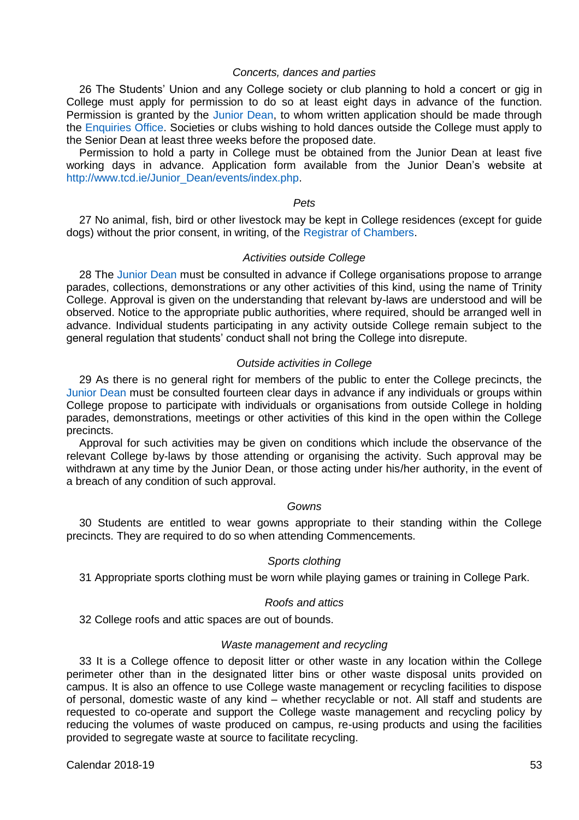## *Concerts, dances and parties*

26 The Students' Union and any College society or club planning to hold a concert or gig in College must apply for permission to do so at least eight days in advance of the function. Permission is granted by the [Junior](https://www.tcd.ie/Junior_Dean/) Dean, to whom written application should be made through the [Enquiries Office.](https://www.tcd.ie/commercial/enquiries-and-events/) Societies or clubs wishing to hold dances outside the College must apply to the Senior Dean at least three weeks before the proposed date.

Permission to hold a party in College must be obtained from the Junior Dean at least five working days in advance. Application form available from the Junior Dean's website at [http://www.tcd.ie/Junior\\_Dean/events/index.php.](http://www.tcd.ie/Junior_Dean/events/index.php)

#### *Pets*

27 No animal, fish, bird or other livestock may be kept in College residences (except for guide dogs) without the prior consent, in writing, of th[e Registrar of Chambers.](https://www.tcd.ie/registrar_of_chambers/index.php)

#### *Activities outside College*

28 The [Junior Dean](https://www.tcd.ie/Junior_Dean/) must be consulted in advance if College organisations propose to arrange parades, collections, demonstrations or any other activities of this kind, using the name of Trinity College. Approval is given on the understanding that relevant by-laws are understood and will be observed. Notice to the appropriate public authorities, where required, should be arranged well in advance. Individual students participating in any activity outside College remain subject to the general regulation that students' conduct shall not bring the College into disrepute.

#### *Outside activities in College*

29 As there is no general right for members of the public to enter the College precincts, the [Junior Dean](https://www.tcd.ie/Junior_Dean/) must be consulted fourteen clear days in advance if any individuals or groups within College propose to participate with individuals or organisations from outside College in holding parades, demonstrations, meetings or other activities of this kind in the open within the College precincts.

Approval for such activities may be given on conditions which include the observance of the relevant College by-laws by those attending or organising the activity. Such approval may be withdrawn at any time by the Junior Dean, or those acting under his/her authority, in the event of a breach of any condition of such approval.

#### *Gowns*

30 Students are entitled to wear gowns appropriate to their standing within the College precincts. They are required to do so when attending Commencements.

# *Sports clothing*

31 Appropriate sports clothing must be worn while playing games or training in College Park.

### *Roofs and attics*

32 College roofs and attic spaces are out of bounds.

## *Waste management and recycling*

33 It is a College offence to deposit litter or other waste in any location within the College perimeter other than in the designated litter bins or other waste disposal units provided on campus. It is also an offence to use College waste management or recycling facilities to dispose of personal, domestic waste of any kind – whether recyclable or not. All staff and students are requested to co-operate and support the College waste management and recycling policy by reducing the volumes of waste produced on campus, re-using products and using the facilities provided to segregate waste at source to facilitate recycling.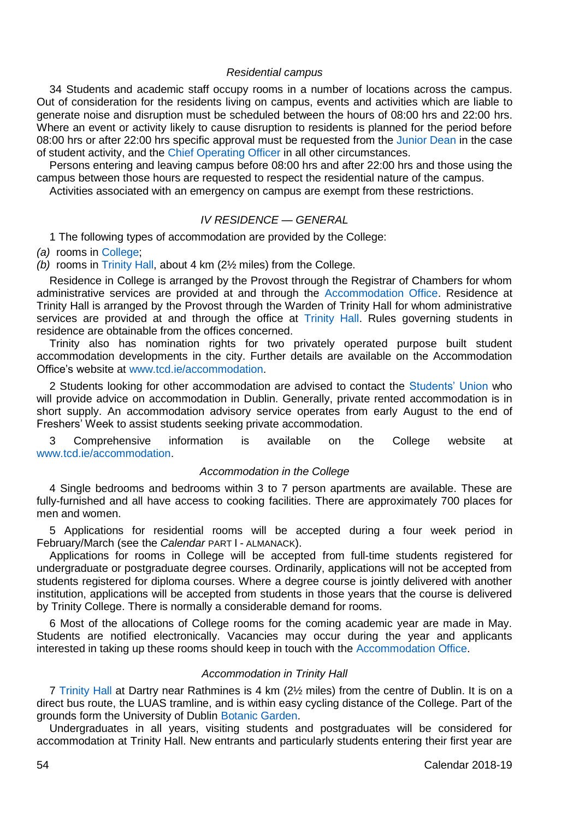#### *Residential campus*

34 Students and academic staff occupy rooms in a number of locations across the campus. Out of consideration for the residents living on campus, events and activities which are liable to generate noise and disruption must be scheduled between the hours of 08:00 hrs and 22:00 hrs. Where an event or activity likely to cause disruption to residents is planned for the period before 08:00 hrs or after 22:00 hrs specific approval must be requested from the [Junior Dean](https://www.tcd.ie/Junior_Dean/) in the case of student activity, and the [Chief Operating Officer](https://www.tcd.ie/corporate-services/contact/) in all other circumstances.

Persons entering and leaving campus before 08:00 hrs and after 22:00 hrs and those using the campus between those hours are requested to respect the residential nature of the campus.

Activities associated with an emergency on campus are exempt from these restrictions.

# *IV RESIDENCE — GENERAL*

1 The following types of accommodation are provided by the College:

*(a)* rooms in [College;](https://www.tcd.ie/accommodation/)

*(b)* rooms in [Trinity Hall,](http://www.wardentrinityhall.tcdlife.ie/index.php) about 4 km (2½ miles) from the College.

Residence in College is arranged by the Provost through the Registrar of Chambers for whom administrative services are provided at and through the [Accommodation Office.](https://www.tcd.ie/accommodation/) Residence at Trinity Hall is arranged by the Provost through the Warden of Trinity Hall for whom administrative services are provided at and through the office at [Trinity Hall.](http://www.wardentrinityhall.tcdlife.ie/contact/) Rules governing students in residence are obtainable from the offices concerned.

Trinity also has nomination rights for two privately operated purpose built student accommodation developments in the city. Further details are available on the Accommodation Office's website at [www.tcd.ie/accommodation.](http://www.tcd.ie/Accommodation)

2 Students looking for other accommodation are advised to contact the [Students' Union](https://www.tcdsu.org/) who will provide advice on accommodation in Dublin. Generally, private rented accommodation is in short supply. An accommodation advisory service operates from early August to the end of Freshers' Week to assist students seeking private accommodation.

3 Comprehensive information is available on the College website at [www.tcd.ie/accommodation.](http://www.tcd.ie/Accommodation)

## *Accommodation in the College*

4 Single bedrooms and bedrooms within 3 to 7 person apartments are available. These are fully-furnished and all have access to cooking facilities. There are approximately 700 places for men and women.

5 Applications for residential rooms will be accepted during a four week period in February/March (see the *Calendar* PART I - ALMANACK).

Applications for rooms in College will be accepted from full-time students registered for undergraduate or postgraduate degree courses. Ordinarily, applications will not be accepted from students registered for diploma courses. Where a degree course is jointly delivered with another institution, applications will be accepted from students in those years that the course is delivered by Trinity College. There is normally a considerable demand for rooms.

6 Most of the allocations of College rooms for the coming academic year are made in May. Students are notified electronically. Vacancies may occur during the year and applicants interested in taking up these rooms should keep in touch with the [Accommodation Office.](https://www.tcd.ie/accommodation/)

## *Accommodation in Trinity Hall*

7 [Trinity Hall](http://www.wardentrinityhall.tcdlife.ie/index.php) at Dartry near Rathmines is 4 km (2½ miles) from the centre of Dublin. It is on a direct bus route, the LUAS tramline, and is within easy cycling distance of the College. Part of the grounds form the University of Dubli[n Botanic Garden.](http://naturalscience.tcd.ie/museums/botanic/)

Undergraduates in all years, visiting students and postgraduates will be considered for accommodation at Trinity Hall. New entrants and particularly students entering their first year are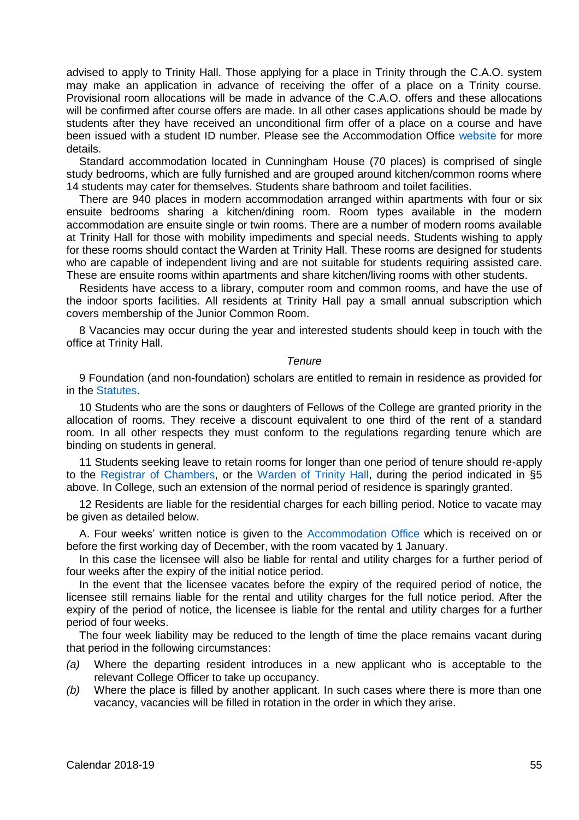advised to apply to Trinity Hall. Those applying for a place in Trinity through the C.A.O. system may make an application in advance of receiving the offer of a place on a Trinity course. Provisional room allocations will be made in advance of the C.A.O. offers and these allocations will be confirmed after course offers are made. In all other cases applications should be made by students after they have received an unconditional firm offer of a place on a course and have been issued with a student ID number. Please see the Accommodation Office [website](http://www.tcd.ie/accommodation/) for more details.

Standard accommodation located in Cunningham House (70 places) is comprised of single study bedrooms, which are fully furnished and are grouped around kitchen/common rooms where 14 students may cater for themselves. Students share bathroom and toilet facilities.

There are 940 places in modern accommodation arranged within apartments with four or six ensuite bedrooms sharing a kitchen/dining room. Room types available in the modern accommodation are ensuite single or twin rooms. There are a number of modern rooms available at Trinity Hall for those with mobility impediments and special needs. Students wishing to apply for these rooms should contact the Warden at Trinity Hall. These rooms are designed for students who are capable of independent living and are not suitable for students requiring assisted care. These are ensuite rooms within apartments and share kitchen/living rooms with other students.

Residents have access to a library, computer room and common rooms, and have the use of the indoor sports facilities. All residents at Trinity Hall pay a small annual subscription which covers membership of the Junior Common Room.

8 Vacancies may occur during the year and interested students should keep in touch with the office at Trinity Hall.

#### *Tenure*

9 Foundation (and non-foundation) scholars are entitled to remain in residence as provided for in the [Statutes.](https://www.tcd.ie/registrar/statutes/)

10 Students who are the sons or daughters of Fellows of the College are granted priority in the allocation of rooms. They receive a discount equivalent to one third of the rent of a standard room. In all other respects they must conform to the regulations regarding tenure which are binding on students in general.

11 Students seeking leave to retain rooms for longer than one period of tenure should re-apply to the [Registrar of Chambers,](https://www.tcd.ie/registrar_of_chambers/index.php) or the [Warden of Trinity Hall,](http://www.wardentrinityhall.tcdlife.ie/contact/) during the period indicated in §5 above. In College, such an extension of the normal period of residence is sparingly granted.

12 Residents are liable for the residential charges for each billing period. Notice to vacate may be given as detailed below.

A. Four weeks' written notice is given to the [Accommodation Office](https://www.tcd.ie/accommodation/) which is received on or before the first working day of December, with the room vacated by 1 January.

In this case the licensee will also be liable for rental and utility charges for a further period of four weeks after the expiry of the initial notice period.

In the event that the licensee vacates before the expiry of the required period of notice, the licensee still remains liable for the rental and utility charges for the full notice period. After the expiry of the period of notice, the licensee is liable for the rental and utility charges for a further period of four weeks.

The four week liability may be reduced to the length of time the place remains vacant during that period in the following circumstances:

- *(a)* Where the departing resident introduces in a new applicant who is acceptable to the relevant College Officer to take up occupancy.
- *(b)* Where the place is filled by another applicant. In such cases where there is more than one vacancy, vacancies will be filled in rotation in the order in which they arise.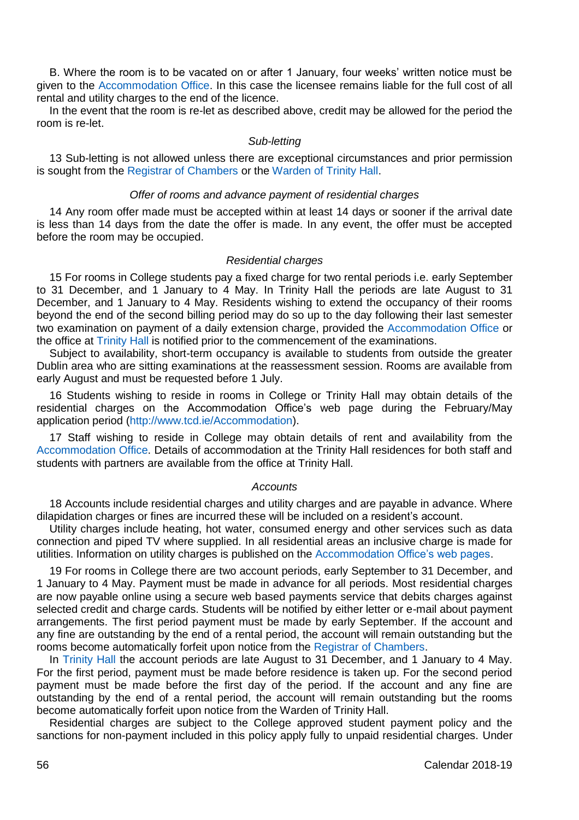B. Where the room is to be vacated on or after 1 January, four weeks' written notice must be given to the [Accommodation Office.](https://www.tcd.ie/accommodation/) In this case the licensee remains liable for the full cost of all rental and utility charges to the end of the licence.

In the event that the room is re-let as described above, credit may be allowed for the period the room is re-let.

## *Sub-letting*

13 Sub-letting is not allowed unless there are exceptional circumstances and prior permission is sought from th[e Registrar of Chambers](https://www.tcd.ie/registrar_of_chambers/index.php) or the [Warden of Trinity Hall.](http://www.wardentrinityhall.tcdlife.ie/contact/)

#### *Offer of rooms and advance payment of residential charges*

14 Any room offer made must be accepted within at least 14 days or sooner if the arrival date is less than 14 days from the date the offer is made. In any event, the offer must be accepted before the room may be occupied.

## *Residential charges*

15 For rooms in College students pay a fixed charge for two rental periods i.e. early September to 31 December, and 1 January to 4 May. In Trinity Hall the periods are late August to 31 December, and 1 January to 4 May. Residents wishing to extend the occupancy of their rooms beyond the end of the second billing period may do so up to the day following their last semester two examination on payment of a daily extension charge, provided the [Accommodation Office](https://www.tcd.ie/accommodation/) or the office a[t Trinity Hall](http://www.wardentrinityhall.tcdlife.ie/contact/) is notified prior to the commencement of the examinations.

Subject to availability, short-term occupancy is available to students from outside the greater Dublin area who are sitting examinations at the reassessment session. Rooms are available from early August and must be requested before 1 July.

16 Students wishing to reside in rooms in College or Trinity Hall may obtain details of the residential charges on the Accommodation Office's web page during the February/May application period [\(http://www.tcd.ie/Accommodation\)](http://www.tcd.ie/Accommodation).

17 Staff wishing to reside in College may obtain details of rent and availability from the [Accommodation Office.](https://www.tcd.ie/accommodation/) Details of accommodation at the Trinity Hall residences for both staff and students with partners are available from the office at Trinity Hall.

#### *Accounts*

18 Accounts include residential charges and utility charges and are payable in advance. Where dilapidation charges or fines are incurred these will be included on a resident's account.

Utility charges include heating, hot water, consumed energy and other services such as data connection and piped TV where supplied. In all residential areas an inclusive charge is made for utilities. Information on utility charges is published on the [Accommodation Office's web pages.](https://www.tcd.ie/accommodation/)

19 For rooms in College there are two account periods, early September to 31 December, and 1 January to 4 May. Payment must be made in advance for all periods. Most residential charges are now payable online using a secure web based payments service that debits charges against selected credit and charge cards. Students will be notified by either letter or e-mail about payment arrangements. The first period payment must be made by early September. If the account and any fine are outstanding by the end of a rental period, the account will remain outstanding but the rooms become automatically forfeit upon notice from the [Registrar of Chambers.](https://www.tcd.ie/registrar_of_chambers/index.php)

In [Trinity Hall](http://www.wardentrinityhall.tcdlife.ie/index.php) the account periods are late August to 31 December, and 1 January to 4 May. For the first period, payment must be made before residence is taken up. For the second period payment must be made before the first day of the period. If the account and any fine are outstanding by the end of a rental period, the account will remain outstanding but the rooms become automatically forfeit upon notice from the Warden of Trinity Hall.

Residential charges are subject to the College approved student payment policy and the sanctions for non-payment included in this policy apply fully to unpaid residential charges. Under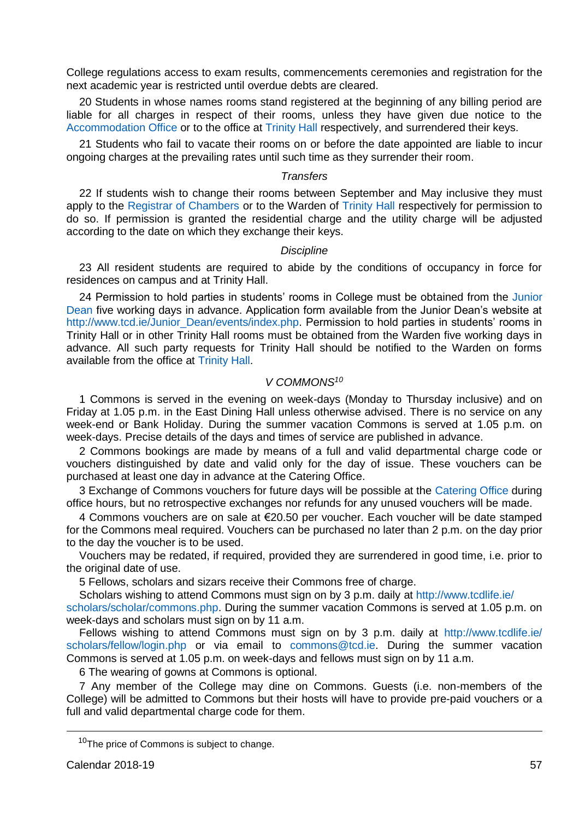College regulations access to exam results, commencements ceremonies and registration for the next academic year is restricted until overdue debts are cleared.

20 Students in whose names rooms stand registered at the beginning of any billing period are liable for all charges in respect of their rooms, unless they have given due notice to the [Accommodation Office](https://www.tcd.ie/accommodation/) or to the office a[t Trinity Hall](http://www.wardentrinityhall.tcdlife.ie/index.php) respectively, and surrendered their keys.

21 Students who fail to vacate their rooms on or before the date appointed are liable to incur ongoing charges at the prevailing rates until such time as they surrender their room.

# *Transfers*

22 If students wish to change their rooms between September and May inclusive they must apply to th[e Registrar of Chambers](https://www.tcd.ie/registrar_of_chambers/index.php) or to the Warden o[f Trinity Hall](http://www.wardentrinityhall.tcdlife.ie/index.php) respectively for permission to do so. If permission is granted the residential charge and the utility charge will be adjusted according to the date on which they exchange their keys.

#### *Discipline*

23 All resident students are required to abide by the conditions of occupancy in force for residences on campus and at Trinity Hall.

24 Permission to hold parties in students' rooms in College must be obtained from the [Junior](https://www.tcd.ie/Junior_Dean/)  [Dean](https://www.tcd.ie/Junior_Dean/) five working days in advance. Application form available from the Junior Dean's website at [http://www.tcd.ie/Junior\\_Dean/events/index.php.](http://www.tcd.ie/Junior_Dean/events/index.php) Permission to hold parties in students' rooms in Trinity Hall or in other Trinity Hall rooms must be obtained from the Warden five working days in advance. All such party requests for Trinity Hall should be notified to the Warden on forms available from the office at [Trinity Hall.](http://www.wardentrinityhall.tcdlife.ie/index.php)

## *V COMMONS<sup>10</sup>*

1 Commons is served in the evening on week-days (Monday to Thursday inclusive) and on Friday at 1.05 p.m. in the East Dining Hall unless otherwise advised. There is no service on any week-end or Bank Holiday. During the summer vacation Commons is served at 1.05 p.m. on week-days. Precise details of the days and times of service are published in advance.

2 Commons bookings are made by means of a full and valid departmental charge code or vouchers distinguished by date and valid only for the day of issue. These vouchers can be purchased at least one day in advance at the Catering Office.

3 Exchange of Commons vouchers for future days will be possible at the [Catering Office](http://www.tcd.ie/catering/) during office hours, but no retrospective exchanges nor refunds for any unused vouchers will be made.

4 Commons vouchers are on sale at €20.50 per voucher. Each voucher will be date stamped for the Commons meal required. Vouchers can be purchased no later than 2 p.m. on the day prior to the day the voucher is to be used.

Vouchers may be redated, if required, provided they are surrendered in good time, i.e. prior to the original date of use.

5 Fellows, scholars and sizars receive their Commons free of charge.

Scholars wishing to attend Commons must sign on by 3 p.m. daily a[t http://www.tcdlife.ie/](http://www.tcdlife.ie/scholars/scholar/commons.php)

[scholars/scholar/commons.php.](http://www.tcdlife.ie/scholars/scholar/commons.php) During the summer vacation Commons is served at 1.05 p.m. on week-days and scholars must sign on by 11 a.m.

Fellows wishing to attend Commons must sign on by 3 p.m. daily at http://www.tcdlife.ie/ [scholars/fellow/login.php](http://www.tcdlife.ie/scholars/fellow/login.php) or via email to [commons@tcd.ie.](mailto:commons@tcd.ie) During the summer vacation Commons is served at 1.05 p.m. on week-days and fellows must sign on by 11 a.m.

6 The wearing of gowns at Commons is optional.

7 Any member of the College may dine on Commons. Guests (i.e. non-members of the College) will be admitted to Commons but their hosts will have to provide pre-paid vouchers or a full and valid departmental charge code for them.

<u>.</u>

<sup>&</sup>lt;sup>10</sup>The price of Commons is subject to change.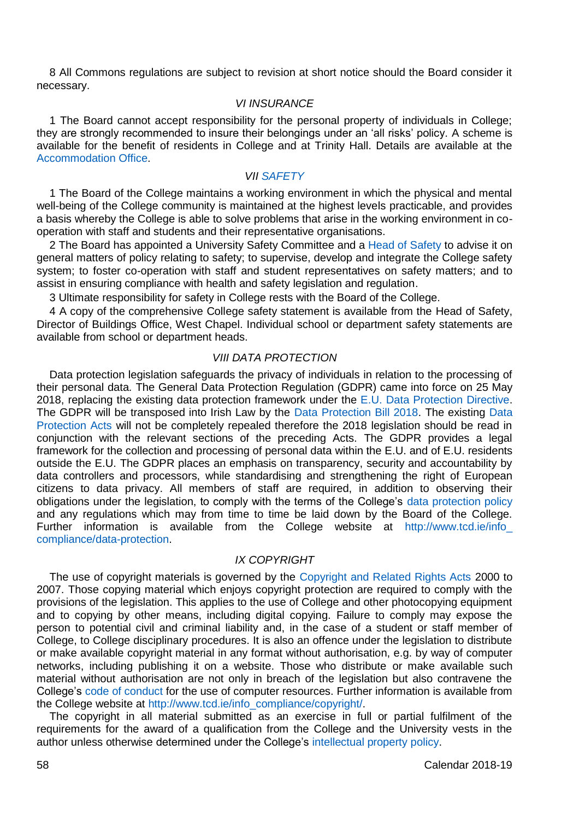8 All Commons regulations are subject to revision at short notice should the Board consider it necessary.

## *VI INSURANCE*

1 The Board cannot accept responsibility for the personal property of individuals in College; they are strongly recommended to insure their belongings under an 'all risks' policy. A scheme is available for the benefit of residents in College and at Trinity Hall. Details are available at the [Accommodation Office.](https://www.tcd.ie/accommodation/)

#### *VII [SAFETY](https://www.tcd.ie/estatesandfacilities/health-and-safety/)*

1 The Board of the College maintains a working environment in which the physical and mental well-being of the College community is maintained at the highest levels practicable, and provides a basis whereby the College is able to solve problems that arise in the working environment in cooperation with staff and students and their representative organisations.

2 The Board has appointed a University Safety Committee and [a Head of Safety t](https://www.tcd.ie/estatesandfacilities/health-and-safety/)o advise it on general matters of policy relating to safety; to supervise, develop and integrate the College safety system; to foster co-operation with staff and student representatives on safety matters; and to assist in ensuring compliance with health and safety legislation and regulation.

3 Ultimate responsibility for safety in College rests with the Board of the College.

4 A copy of the comprehensive College safety statement is available from the Head of Safety, Director of Buildings Office, West Chapel. Individual school or department safety statements are available from school or department heads.

# *VIII DATA PROTECTION*

Data protection legislation safeguards the privacy of individuals in relation to the processing of their personal data. The General Data Protection Regulation (GDPR) came into force on 25 May 2018, replacing the existing data protection framework under the E.U. [Data Protection Directive.](https://www.eugdpr.org/) The GDPR will be transposed into Irish Law by the [Data Protection Bill 2018.](http://www.irishstatutebook.ie/eli/2018/act/7/enacted/en/html) The existing [Data](http://www.irishstatutebook.ie/eli/1988/act/25/enacted/en/html)  [Protection Acts](http://www.irishstatutebook.ie/eli/1988/act/25/enacted/en/html) will not be completely repealed therefore the 2018 legislation should be read in conjunction with the relevant sections of the preceding Acts. The GDPR provides a legal framework for the collection and processing of personal data within the E.U. and of E.U. residents outside the E.U. The GDPR places an emphasis on transparency, security and accountability by data controllers and processors, while standardising and strengthening the right of European citizens to data privacy. All members of staff are required, in addition to observing their obligations under the legislation, to comply with the terms of the College's [data protection policy](https://www.tcd.ie/about/policies/data_protection.php) and any regulations which may from time to time be laid down by the Board of the College. Further information is available from the College website at [http://www.tcd.ie/info\\_](http://www.tcd.ie/info_%20compliance/data-protection)  [compliance/data-protection.](http://www.tcd.ie/info_%20compliance/data-protection)

# *IX COPYRIGHT*

The use of copyright materials is governed by the [Copyright and Related Rights Acts](http://www.irishstatutebook.ie/eli/2000/act/28/enacted/en/html) 2000 to 2007. Those copying material which enjoys copyright protection are required to comply with the provisions of the legislation. This applies to the use of College and other photocopying equipment and to copying by other means, including digital copying. Failure to comply may expose the person to potential civil and criminal liability and, in the case of a student or staff member of College, to College disciplinary procedures. It is also an offence under the legislation to distribute or make available copyright material in any format without authorisation, e.g. by way of computer networks, including publishing it on a website. Those who distribute or make available such material without authorisation are not only in breach of the legislation but also contravene the College's [code of conduct](https://www.tcd.ie/about/policies/it_and_network_code_of_conduct.php) for the use of computer resources. Further information is available from the College website a[t http://www.tcd.ie/info\\_compliance/copyright/.](http://www.tcd.ie/info_compliance/copyright/)

The copyright in all material submitted as an exercise in full or partial fulfilment of the requirements for the award of a qualification from the College and the University vests in the author unless otherwise determined under the College's [intellectual property policy.](https://www.tcd.ie/about/policies/assets/pdf/intellectual-property-policy.pdf)